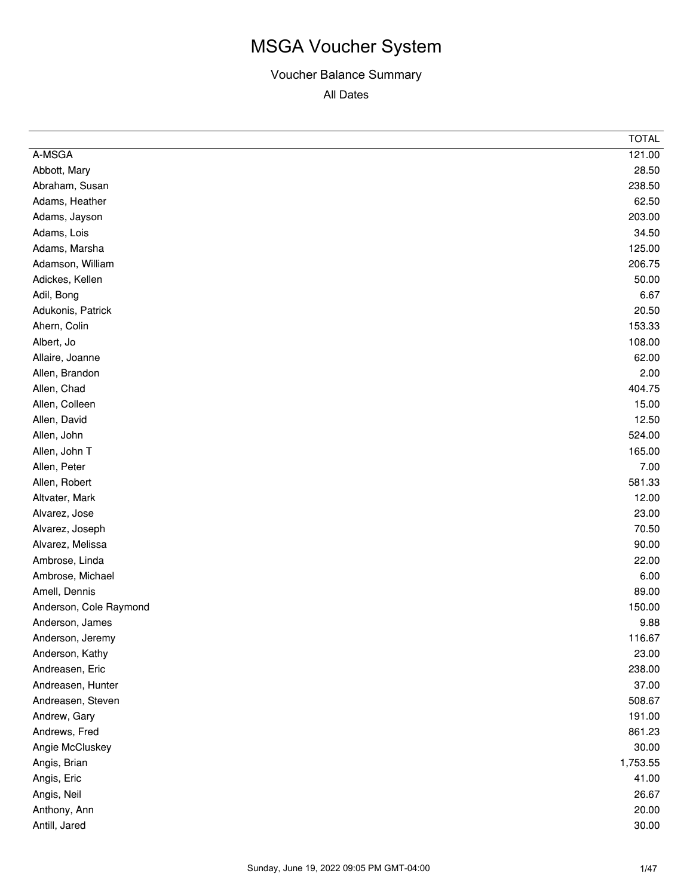|                        | <b>TOTAL</b> |
|------------------------|--------------|
| A-MSGA                 | 121.00       |
| Abbott, Mary           | 28.50        |
| Abraham, Susan         | 238.50       |
| Adams, Heather         | 62.50        |
| Adams, Jayson          | 203.00       |
| Adams, Lois            | 34.50        |
| Adams, Marsha          | 125.00       |
| Adamson, William       | 206.75       |
| Adickes, Kellen        | 50.00        |
| Adil, Bong             | 6.67         |
| Adukonis, Patrick      | 20.50        |
| Ahern, Colin           | 153.33       |
| Albert, Jo             | 108.00       |
| Allaire, Joanne        | 62.00        |
| Allen, Brandon         | 2.00         |
| Allen, Chad            | 404.75       |
| Allen, Colleen         | 15.00        |
| Allen, David           | 12.50        |
| Allen, John            | 524.00       |
| Allen, John T          | 165.00       |
| Allen, Peter           | 7.00         |
| Allen, Robert          | 581.33       |
| Altvater, Mark         | 12.00        |
| Alvarez, Jose          | 23.00        |
| Alvarez, Joseph        | 70.50        |
| Alvarez, Melissa       | 90.00        |
| Ambrose, Linda         | 22.00        |
| Ambrose, Michael       | 6.00         |
| Amell, Dennis          | 89.00        |
| Anderson, Cole Raymond | 150.00       |
| Anderson, James        | 9.88         |
| Anderson, Jeremy       | 116.67       |
| Anderson, Kathy        | 23.00        |
| Andreasen, Eric        | 238.00       |
| Andreasen, Hunter      | 37.00        |
| Andreasen, Steven      | 508.67       |
| Andrew, Gary           | 191.00       |
| Andrews, Fred          | 861.23       |
| Angie McCluskey        | 30.00        |
| Angis, Brian           | 1,753.55     |
| Angis, Eric            | 41.00        |
| Angis, Neil            | 26.67        |
| Anthony, Ann           | 20.00        |
| Antill, Jared          | 30.00        |
|                        |              |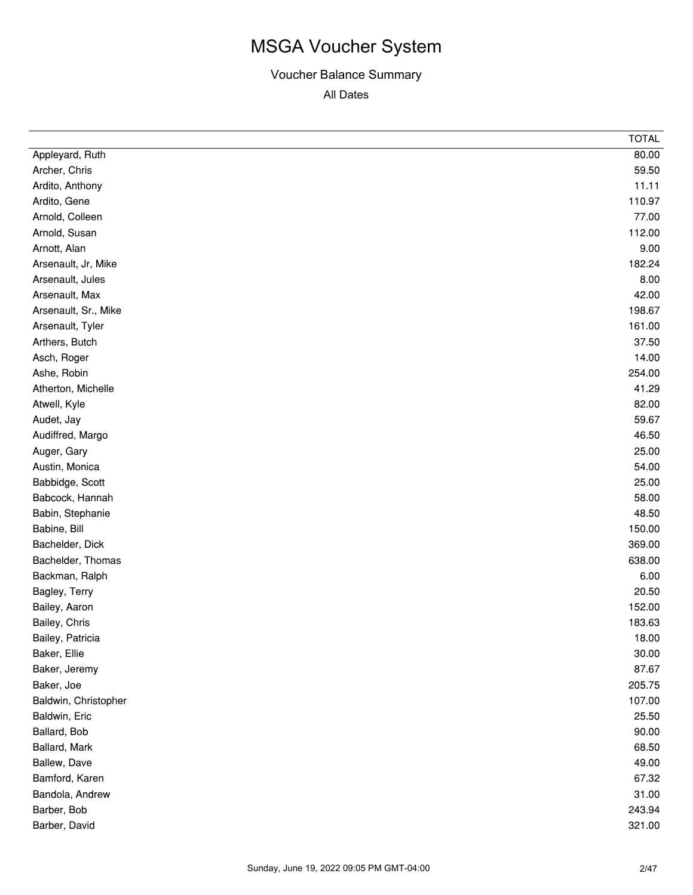|                      | <b>TOTAL</b> |
|----------------------|--------------|
| Appleyard, Ruth      | 80.00        |
| Archer, Chris        | 59.50        |
| Ardito, Anthony      | 11.11        |
| Ardito, Gene         | 110.97       |
| Arnold, Colleen      | 77.00        |
| Arnold, Susan        | 112.00       |
| Arnott, Alan         | 9.00         |
| Arsenault, Jr, Mike  | 182.24       |
| Arsenault, Jules     | 8.00         |
| Arsenault, Max       | 42.00        |
| Arsenault, Sr., Mike | 198.67       |
| Arsenault, Tyler     | 161.00       |
| Arthers, Butch       | 37.50        |
| Asch, Roger          | 14.00        |
| Ashe, Robin          | 254.00       |
| Atherton, Michelle   | 41.29        |
| Atwell, Kyle         | 82.00        |
| Audet, Jay           | 59.67        |
| Audiffred, Margo     | 46.50        |
| Auger, Gary          | 25.00        |
| Austin, Monica       | 54.00        |
| Babbidge, Scott      | 25.00        |
| Babcock, Hannah      | 58.00        |
| Babin, Stephanie     | 48.50        |
| Babine, Bill         | 150.00       |
| Bachelder, Dick      | 369.00       |
| Bachelder, Thomas    | 638.00       |
| Backman, Ralph       | 6.00         |
| Bagley, Terry        | 20.50        |
| Bailey, Aaron        | 152.00       |
| Bailey, Chris        | 183.63       |
| Bailey, Patricia     | 18.00        |
| Baker, Ellie         | 30.00        |
| Baker, Jeremy        | 87.67        |
| Baker, Joe           | 205.75       |
| Baldwin, Christopher | 107.00       |
| Baldwin, Eric        | 25.50        |
| Ballard, Bob         | 90.00        |
| Ballard, Mark        | 68.50        |
| Ballew, Dave         | 49.00        |
| Bamford, Karen       | 67.32        |
| Bandola, Andrew      | 31.00        |
| Barber, Bob          | 243.94       |
| Barber, David        | 321.00       |
|                      |              |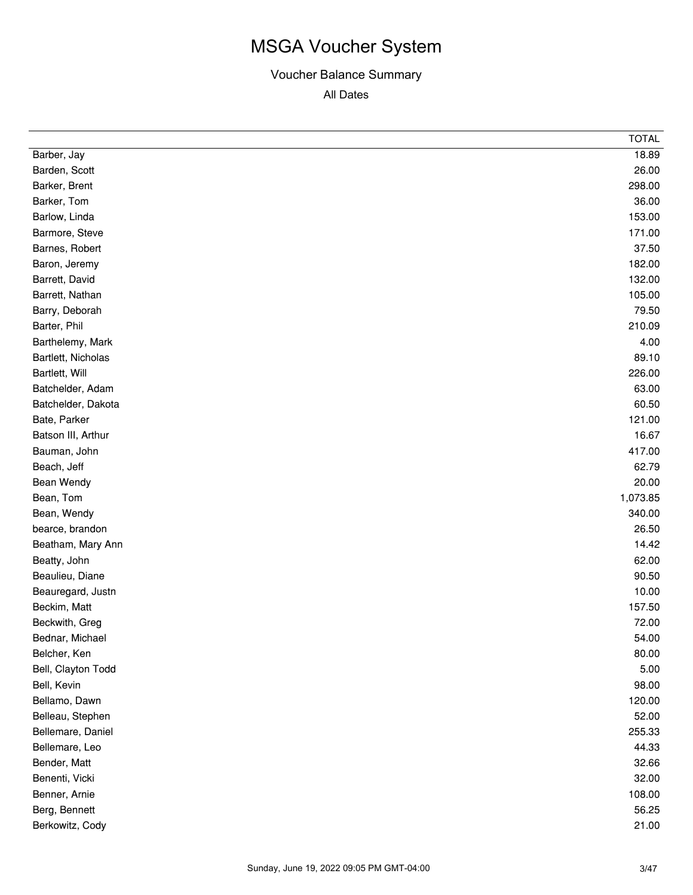|                    | <b>TOTAL</b> |
|--------------------|--------------|
| Barber, Jay        | 18.89        |
| Barden, Scott      | 26.00        |
| Barker, Brent      | 298.00       |
| Barker, Tom        | 36.00        |
| Barlow, Linda      | 153.00       |
| Barmore, Steve     | 171.00       |
| Barnes, Robert     | 37.50        |
| Baron, Jeremy      | 182.00       |
| Barrett, David     | 132.00       |
| Barrett, Nathan    | 105.00       |
| Barry, Deborah     | 79.50        |
| Barter, Phil       | 210.09       |
| Barthelemy, Mark   | 4.00         |
| Bartlett, Nicholas | 89.10        |
| Bartlett, Will     | 226.00       |
| Batchelder, Adam   | 63.00        |
| Batchelder, Dakota | 60.50        |
| Bate, Parker       | 121.00       |
| Batson III, Arthur | 16.67        |
| Bauman, John       | 417.00       |
| Beach, Jeff        | 62.79        |
| Bean Wendy         | 20.00        |
| Bean, Tom          | 1,073.85     |
| Bean, Wendy        | 340.00       |
| bearce, brandon    | 26.50        |
| Beatham, Mary Ann  | 14.42        |
| Beatty, John       | 62.00        |
| Beaulieu, Diane    | 90.50        |
| Beauregard, Justn  | 10.00        |
| Beckim, Matt       | 157.50       |
| Beckwith, Greg     | 72.00        |
| Bednar, Michael    | 54.00        |
| Belcher, Ken       | 80.00        |
| Bell, Clayton Todd | 5.00         |
| Bell, Kevin        | 98.00        |
| Bellamo, Dawn      | 120.00       |
| Belleau, Stephen   | 52.00        |
| Bellemare, Daniel  | 255.33       |
| Bellemare, Leo     | 44.33        |
| Bender, Matt       | 32.66        |
| Benenti, Vicki     | 32.00        |
| Benner, Arnie      | 108.00       |
| Berg, Bennett      | 56.25        |
| Berkowitz, Cody    | 21.00        |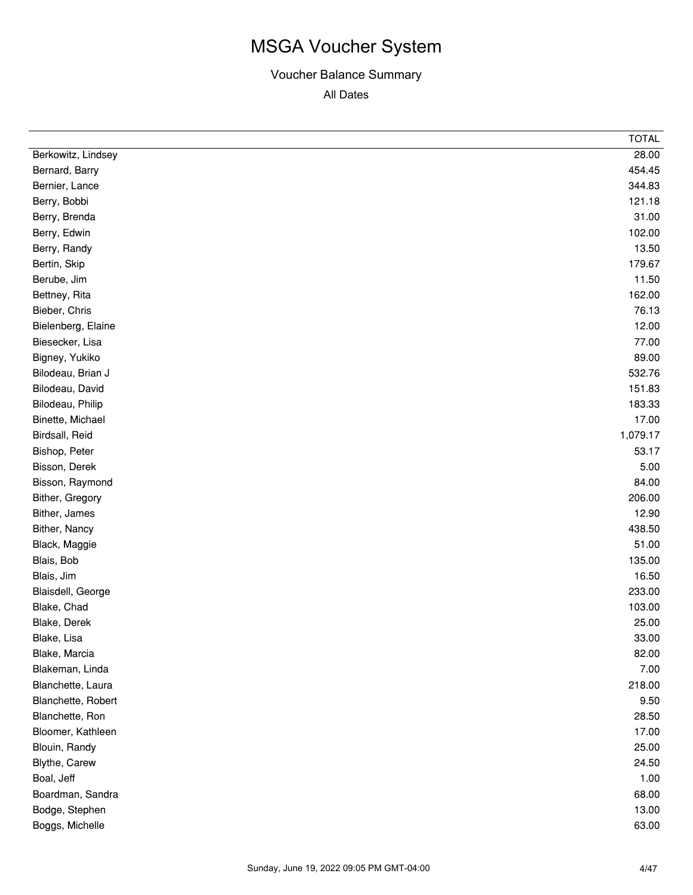|                    | <b>TOTAL</b> |
|--------------------|--------------|
| Berkowitz, Lindsey | 28.00        |
| Bernard, Barry     | 454.45       |
| Bernier, Lance     | 344.83       |
| Berry, Bobbi       | 121.18       |
| Berry, Brenda      | 31.00        |
| Berry, Edwin       | 102.00       |
| Berry, Randy       | 13.50        |
| Bertin, Skip       | 179.67       |
| Berube, Jim        | 11.50        |
| Bettney, Rita      | 162.00       |
| Bieber, Chris      | 76.13        |
| Bielenberg, Elaine | 12.00        |
| Biesecker, Lisa    | 77.00        |
| Bigney, Yukiko     | 89.00        |
| Bilodeau, Brian J  | 532.76       |
| Bilodeau, David    | 151.83       |
| Bilodeau, Philip   | 183.33       |
| Binette, Michael   | 17.00        |
| Birdsall, Reid     | 1,079.17     |
| Bishop, Peter      | 53.17        |
| Bisson, Derek      | 5.00         |
| Bisson, Raymond    | 84.00        |
| Bither, Gregory    | 206.00       |
| Bither, James      | 12.90        |
| Bither, Nancy      | 438.50       |
| Black, Maggie      | 51.00        |
| Blais, Bob         | 135.00       |
| Blais, Jim         | 16.50        |
| Blaisdell, George  | 233.00       |
| Blake, Chad        | 103.00       |
| Blake, Derek       | 25.00        |
| Blake, Lisa        | 33.00        |
| Blake, Marcia      | 82.00        |
| Blakeman, Linda    | 7.00         |
| Blanchette, Laura  | 218.00       |
| Blanchette, Robert | 9.50         |
| Blanchette, Ron    | 28.50        |
| Bloomer, Kathleen  | 17.00        |
| Blouin, Randy      | 25.00        |
| Blythe, Carew      | 24.50        |
| Boal, Jeff         | 1.00         |
| Boardman, Sandra   | 68.00        |
| Bodge, Stephen     | 13.00        |
| Boggs, Michelle    | 63.00        |
|                    |              |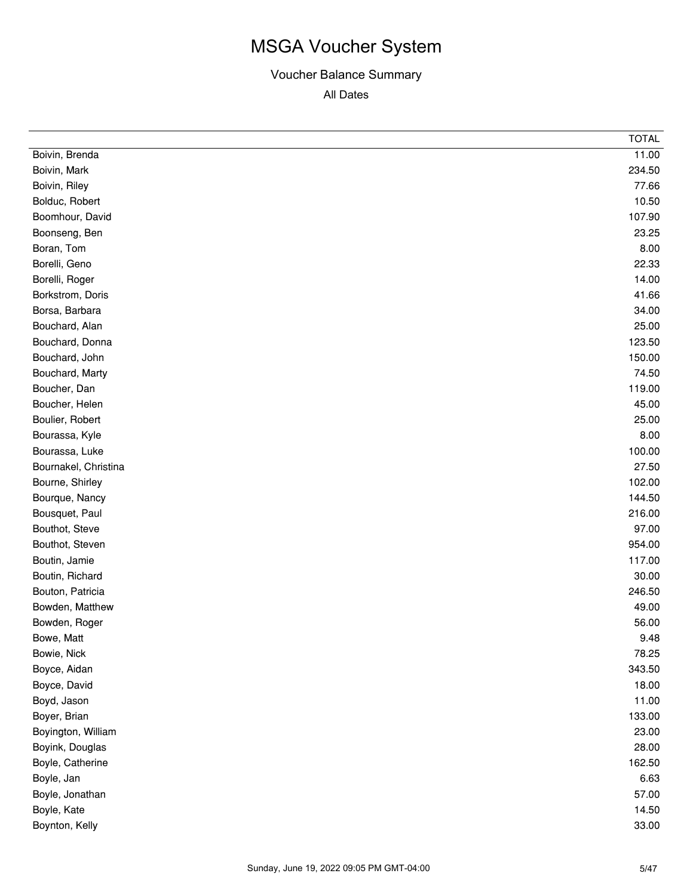|                      | <b>TOTAL</b> |
|----------------------|--------------|
| Boivin, Brenda       | 11.00        |
| Boivin, Mark         | 234.50       |
| Boivin, Riley        | 77.66        |
| Bolduc, Robert       | 10.50        |
| Boomhour, David      | 107.90       |
| Boonseng, Ben        | 23.25        |
| Boran, Tom           | 8.00         |
| Borelli, Geno        | 22.33        |
| Borelli, Roger       | 14.00        |
| Borkstrom, Doris     | 41.66        |
| Borsa, Barbara       | 34.00        |
| Bouchard, Alan       | 25.00        |
| Bouchard, Donna      | 123.50       |
| Bouchard, John       | 150.00       |
| Bouchard, Marty      | 74.50        |
| Boucher, Dan         | 119.00       |
| Boucher, Helen       | 45.00        |
| Boulier, Robert      | 25.00        |
| Bourassa, Kyle       | 8.00         |
| Bourassa, Luke       | 100.00       |
| Bournakel, Christina | 27.50        |
| Bourne, Shirley      | 102.00       |
| Bourque, Nancy       | 144.50       |
| Bousquet, Paul       | 216.00       |
| Bouthot, Steve       | 97.00        |
| Bouthot, Steven      | 954.00       |
| Boutin, Jamie        | 117.00       |
| Boutin, Richard      | 30.00        |
| Bouton, Patricia     | 246.50       |
| Bowden, Matthew      | 49.00        |
| Bowden, Roger        | 56.00        |
| Bowe, Matt           | 9.48         |
| Bowie, Nick          | 78.25        |
| Boyce, Aidan         | 343.50       |
| Boyce, David         | 18.00        |
| Boyd, Jason          | 11.00        |
| Boyer, Brian         | 133.00       |
| Boyington, William   | 23.00        |
| Boyink, Douglas      | 28.00        |
| Boyle, Catherine     | 162.50       |
| Boyle, Jan           | 6.63         |
| Boyle, Jonathan      | 57.00        |
| Boyle, Kate          | 14.50        |
| Boynton, Kelly       | 33.00        |
|                      |              |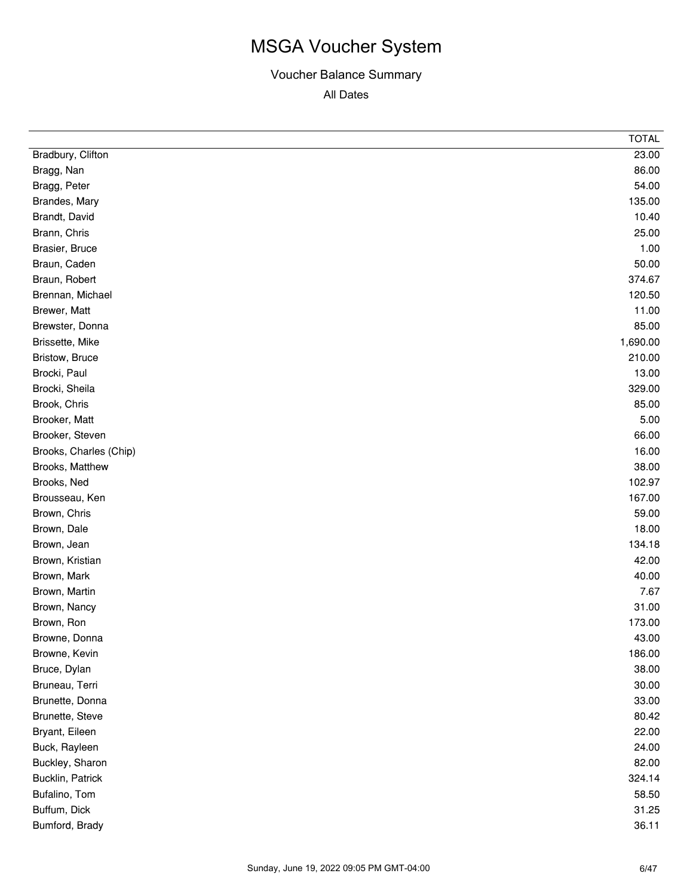|                        | <b>TOTAL</b> |
|------------------------|--------------|
| Bradbury, Clifton      | 23.00        |
| Bragg, Nan             | 86.00        |
| Bragg, Peter           | 54.00        |
| Brandes, Mary          | 135.00       |
| Brandt, David          | 10.40        |
| Brann, Chris           | 25.00        |
| Brasier, Bruce         | 1.00         |
| Braun, Caden           | 50.00        |
| Braun, Robert          | 374.67       |
| Brennan, Michael       | 120.50       |
| Brewer, Matt           | 11.00        |
| Brewster, Donna        | 85.00        |
| Brissette, Mike        | 1,690.00     |
| Bristow, Bruce         | 210.00       |
| Brocki, Paul           | 13.00        |
| Brocki, Sheila         | 329.00       |
| Brook, Chris           | 85.00        |
| Brooker, Matt          | 5.00         |
| Brooker, Steven        | 66.00        |
| Brooks, Charles (Chip) | 16.00        |
| Brooks, Matthew        | 38.00        |
| Brooks, Ned            | 102.97       |
| Brousseau, Ken         | 167.00       |
| Brown, Chris           | 59.00        |
| Brown, Dale            | 18.00        |
| Brown, Jean            | 134.18       |
| Brown, Kristian        | 42.00        |
| Brown, Mark            | 40.00        |
| Brown, Martin          | 7.67         |
| Brown, Nancy           | 31.00        |
| Brown, Ron             | 173.00       |
| Browne, Donna          | 43.00        |
| Browne, Kevin          | 186.00       |
| Bruce, Dylan           | 38.00        |
| Bruneau, Terri         | 30.00        |
| Brunette, Donna        | 33.00        |
| Brunette, Steve        | 80.42        |
| Bryant, Eileen         | 22.00        |
| Buck, Rayleen          | 24.00        |
| Buckley, Sharon        | 82.00        |
| Bucklin, Patrick       | 324.14       |
| Bufalino, Tom          | 58.50        |
| Buffum, Dick           | 31.25        |
| Bumford, Brady         | 36.11        |
|                        |              |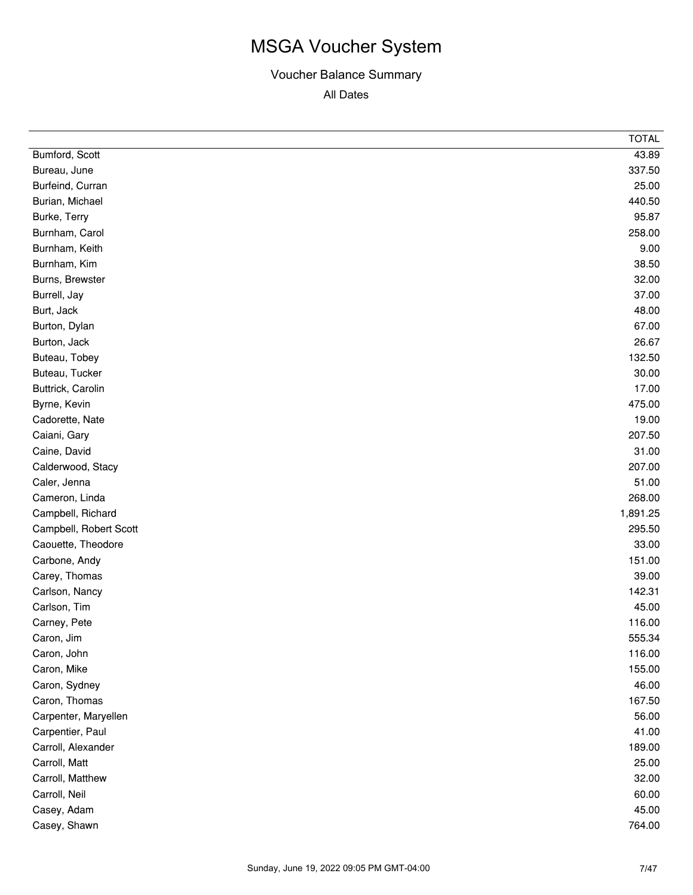|                        | <b>TOTAL</b> |
|------------------------|--------------|
| Bumford, Scott         | 43.89        |
| Bureau, June           | 337.50       |
| Burfeind, Curran       | 25.00        |
| Burian, Michael        | 440.50       |
| Burke, Terry           | 95.87        |
| Burnham, Carol         | 258.00       |
| Burnham, Keith         | 9.00         |
| Burnham, Kim           | 38.50        |
| Burns, Brewster        | 32.00        |
| Burrell, Jay           | 37.00        |
| Burt, Jack             | 48.00        |
| Burton, Dylan          | 67.00        |
| Burton, Jack           | 26.67        |
| Buteau, Tobey          | 132.50       |
| Buteau, Tucker         | 30.00        |
| Buttrick, Carolin      | 17.00        |
| Byrne, Kevin           | 475.00       |
| Cadorette, Nate        | 19.00        |
| Caiani, Gary           | 207.50       |
| Caine, David           | 31.00        |
| Calderwood, Stacy      | 207.00       |
| Caler, Jenna           | 51.00        |
| Cameron, Linda         | 268.00       |
| Campbell, Richard      | 1,891.25     |
| Campbell, Robert Scott | 295.50       |
| Caouette, Theodore     | 33.00        |
| Carbone, Andy          | 151.00       |
| Carey, Thomas          | 39.00        |
| Carlson, Nancy         | 142.31       |
| Carlson, Tim           | 45.00        |
| Carney, Pete           | 116.00       |
| Caron, Jim             | 555.34       |
| Caron, John            | 116.00       |
| Caron, Mike            | 155.00       |
| Caron, Sydney          | 46.00        |
| Caron, Thomas          | 167.50       |
| Carpenter, Maryellen   | 56.00        |
| Carpentier, Paul       | 41.00        |
| Carroll, Alexander     | 189.00       |
| Carroll, Matt          | 25.00        |
| Carroll, Matthew       | 32.00        |
| Carroll, Neil          | 60.00        |
| Casey, Adam            | 45.00        |
| Casey, Shawn           | 764.00       |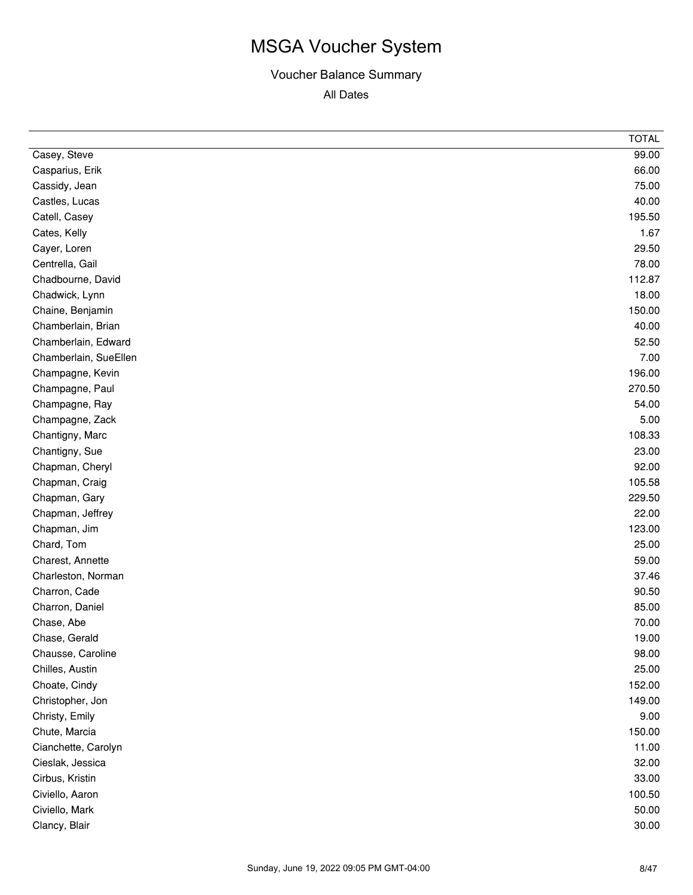|                       | <b>TOTAL</b> |
|-----------------------|--------------|
| Casey, Steve          | 99.00        |
| Casparius, Erik       | 66.00        |
| Cassidy, Jean         | 75.00        |
| Castles, Lucas        | 40.00        |
| Catell, Casey         | 195.50       |
| Cates, Kelly          | 1.67         |
| Cayer, Loren          | 29.50        |
| Centrella, Gail       | 78.00        |
| Chadbourne, David     | 112.87       |
| Chadwick, Lynn        | 18.00        |
| Chaine, Benjamin      | 150.00       |
| Chamberlain, Brian    | 40.00        |
| Chamberlain, Edward   | 52.50        |
| Chamberlain, SueEllen | 7.00         |
| Champagne, Kevin      | 196.00       |
| Champagne, Paul       | 270.50       |
| Champagne, Ray        | 54.00        |
| Champagne, Zack       | 5.00         |
| Chantigny, Marc       | 108.33       |
| Chantigny, Sue        | 23.00        |
| Chapman, Cheryl       | 92.00        |
| Chapman, Craig        | 105.58       |
| Chapman, Gary         | 229.50       |
| Chapman, Jeffrey      | 22.00        |
| Chapman, Jim          | 123.00       |
| Chard, Tom            | 25.00        |
| Charest, Annette      | 59.00        |
| Charleston, Norman    | 37.46        |
| Charron, Cade         | 90.50        |
| Charron, Daniel       | 85.00        |
| Chase, Abe            | 70.00        |
| Chase, Gerald         | 19.00        |
| Chausse, Caroline     | 98.00        |
| Chilles, Austin       | 25.00        |
| Choate, Cindy         | 152.00       |
| Christopher, Jon      | 149.00       |
| Christy, Emily        | 9.00         |
| Chute, Marcia         | 150.00       |
| Cianchette, Carolyn   | 11.00        |
| Cieslak, Jessica      | 32.00        |
| Cirbus, Kristin       | 33.00        |
| Civiello, Aaron       | 100.50       |
| Civiello, Mark        | 50.00        |
| Clancy, Blair         | 30.00        |
|                       |              |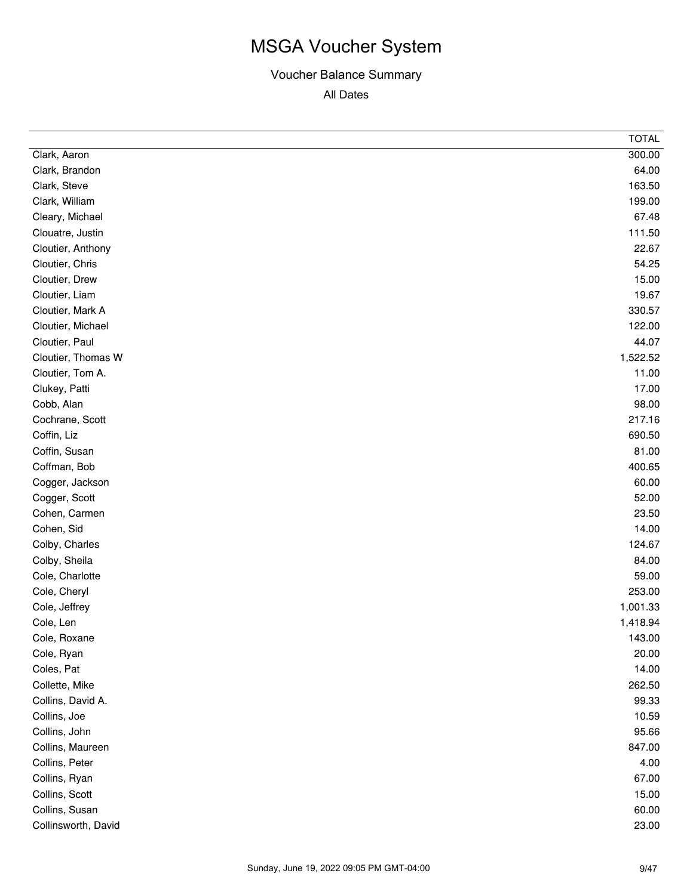| 300.00<br>Clark, Aaron<br>64.00<br>Clark, Brandon<br>163.50<br>Clark, Steve<br>199.00<br>Clark, William<br>67.48<br>Cleary, Michael<br>111.50<br>Clouatre, Justin<br>22.67<br>Cloutier, Anthony<br>Cloutier, Chris<br>54.25<br>15.00<br>Cloutier, Drew<br>19.67<br>Cloutier, Liam<br>Cloutier, Mark A<br>330.57<br>Cloutier, Michael<br>122.00<br>Cloutier, Paul<br>44.07<br>Cloutier, Thomas W<br>1,522.52<br>Cloutier, Tom A.<br>11.00<br>17.00<br>Clukey, Patti<br>Cobb, Alan<br>98.00<br>Cochrane, Scott<br>217.16<br>690.50<br>Coffin, Liz<br>81.00<br>Coffin, Susan<br>Coffman, Bob<br>400.65<br>Cogger, Jackson<br>60.00<br>52.00<br>Cogger, Scott<br>23.50<br>Cohen, Carmen<br>14.00<br>Cohen, Sid<br>124.67<br>Colby, Charles<br>Colby, Sheila<br>84.00<br>59.00<br>Cole, Charlotte<br>253.00<br>Cole, Cheryl<br>1,001.33<br>Cole, Jeffrey<br>Cole, Len<br>1,418.94<br>143.00<br>Cole, Roxane<br>Cole, Ryan<br>20.00<br>Coles, Pat<br>14.00<br>262.50<br>Collette, Mike<br>99.33<br>Collins, David A.<br>10.59<br>Collins, Joe<br>95.66<br>Collins, John<br>847.00<br>Collins, Maureen<br>Collins, Peter<br>4.00<br>Collins, Ryan<br>67.00<br>Collins, Scott<br>15.00<br>Collins, Susan<br>60.00<br>Collinsworth, David<br>23.00 | <b>TOTAL</b> |
|-------------------------------------------------------------------------------------------------------------------------------------------------------------------------------------------------------------------------------------------------------------------------------------------------------------------------------------------------------------------------------------------------------------------------------------------------------------------------------------------------------------------------------------------------------------------------------------------------------------------------------------------------------------------------------------------------------------------------------------------------------------------------------------------------------------------------------------------------------------------------------------------------------------------------------------------------------------------------------------------------------------------------------------------------------------------------------------------------------------------------------------------------------------------------------------------------------------------------------------------|--------------|
|                                                                                                                                                                                                                                                                                                                                                                                                                                                                                                                                                                                                                                                                                                                                                                                                                                                                                                                                                                                                                                                                                                                                                                                                                                           |              |
|                                                                                                                                                                                                                                                                                                                                                                                                                                                                                                                                                                                                                                                                                                                                                                                                                                                                                                                                                                                                                                                                                                                                                                                                                                           |              |
|                                                                                                                                                                                                                                                                                                                                                                                                                                                                                                                                                                                                                                                                                                                                                                                                                                                                                                                                                                                                                                                                                                                                                                                                                                           |              |
|                                                                                                                                                                                                                                                                                                                                                                                                                                                                                                                                                                                                                                                                                                                                                                                                                                                                                                                                                                                                                                                                                                                                                                                                                                           |              |
|                                                                                                                                                                                                                                                                                                                                                                                                                                                                                                                                                                                                                                                                                                                                                                                                                                                                                                                                                                                                                                                                                                                                                                                                                                           |              |
|                                                                                                                                                                                                                                                                                                                                                                                                                                                                                                                                                                                                                                                                                                                                                                                                                                                                                                                                                                                                                                                                                                                                                                                                                                           |              |
|                                                                                                                                                                                                                                                                                                                                                                                                                                                                                                                                                                                                                                                                                                                                                                                                                                                                                                                                                                                                                                                                                                                                                                                                                                           |              |
|                                                                                                                                                                                                                                                                                                                                                                                                                                                                                                                                                                                                                                                                                                                                                                                                                                                                                                                                                                                                                                                                                                                                                                                                                                           |              |
|                                                                                                                                                                                                                                                                                                                                                                                                                                                                                                                                                                                                                                                                                                                                                                                                                                                                                                                                                                                                                                                                                                                                                                                                                                           |              |
|                                                                                                                                                                                                                                                                                                                                                                                                                                                                                                                                                                                                                                                                                                                                                                                                                                                                                                                                                                                                                                                                                                                                                                                                                                           |              |
|                                                                                                                                                                                                                                                                                                                                                                                                                                                                                                                                                                                                                                                                                                                                                                                                                                                                                                                                                                                                                                                                                                                                                                                                                                           |              |
|                                                                                                                                                                                                                                                                                                                                                                                                                                                                                                                                                                                                                                                                                                                                                                                                                                                                                                                                                                                                                                                                                                                                                                                                                                           |              |
|                                                                                                                                                                                                                                                                                                                                                                                                                                                                                                                                                                                                                                                                                                                                                                                                                                                                                                                                                                                                                                                                                                                                                                                                                                           |              |
|                                                                                                                                                                                                                                                                                                                                                                                                                                                                                                                                                                                                                                                                                                                                                                                                                                                                                                                                                                                                                                                                                                                                                                                                                                           |              |
|                                                                                                                                                                                                                                                                                                                                                                                                                                                                                                                                                                                                                                                                                                                                                                                                                                                                                                                                                                                                                                                                                                                                                                                                                                           |              |
|                                                                                                                                                                                                                                                                                                                                                                                                                                                                                                                                                                                                                                                                                                                                                                                                                                                                                                                                                                                                                                                                                                                                                                                                                                           |              |
|                                                                                                                                                                                                                                                                                                                                                                                                                                                                                                                                                                                                                                                                                                                                                                                                                                                                                                                                                                                                                                                                                                                                                                                                                                           |              |
|                                                                                                                                                                                                                                                                                                                                                                                                                                                                                                                                                                                                                                                                                                                                                                                                                                                                                                                                                                                                                                                                                                                                                                                                                                           |              |
|                                                                                                                                                                                                                                                                                                                                                                                                                                                                                                                                                                                                                                                                                                                                                                                                                                                                                                                                                                                                                                                                                                                                                                                                                                           |              |
|                                                                                                                                                                                                                                                                                                                                                                                                                                                                                                                                                                                                                                                                                                                                                                                                                                                                                                                                                                                                                                                                                                                                                                                                                                           |              |
|                                                                                                                                                                                                                                                                                                                                                                                                                                                                                                                                                                                                                                                                                                                                                                                                                                                                                                                                                                                                                                                                                                                                                                                                                                           |              |
|                                                                                                                                                                                                                                                                                                                                                                                                                                                                                                                                                                                                                                                                                                                                                                                                                                                                                                                                                                                                                                                                                                                                                                                                                                           |              |
|                                                                                                                                                                                                                                                                                                                                                                                                                                                                                                                                                                                                                                                                                                                                                                                                                                                                                                                                                                                                                                                                                                                                                                                                                                           |              |
|                                                                                                                                                                                                                                                                                                                                                                                                                                                                                                                                                                                                                                                                                                                                                                                                                                                                                                                                                                                                                                                                                                                                                                                                                                           |              |
|                                                                                                                                                                                                                                                                                                                                                                                                                                                                                                                                                                                                                                                                                                                                                                                                                                                                                                                                                                                                                                                                                                                                                                                                                                           |              |
|                                                                                                                                                                                                                                                                                                                                                                                                                                                                                                                                                                                                                                                                                                                                                                                                                                                                                                                                                                                                                                                                                                                                                                                                                                           |              |
|                                                                                                                                                                                                                                                                                                                                                                                                                                                                                                                                                                                                                                                                                                                                                                                                                                                                                                                                                                                                                                                                                                                                                                                                                                           |              |
|                                                                                                                                                                                                                                                                                                                                                                                                                                                                                                                                                                                                                                                                                                                                                                                                                                                                                                                                                                                                                                                                                                                                                                                                                                           |              |
|                                                                                                                                                                                                                                                                                                                                                                                                                                                                                                                                                                                                                                                                                                                                                                                                                                                                                                                                                                                                                                                                                                                                                                                                                                           |              |
|                                                                                                                                                                                                                                                                                                                                                                                                                                                                                                                                                                                                                                                                                                                                                                                                                                                                                                                                                                                                                                                                                                                                                                                                                                           |              |
|                                                                                                                                                                                                                                                                                                                                                                                                                                                                                                                                                                                                                                                                                                                                                                                                                                                                                                                                                                                                                                                                                                                                                                                                                                           |              |
|                                                                                                                                                                                                                                                                                                                                                                                                                                                                                                                                                                                                                                                                                                                                                                                                                                                                                                                                                                                                                                                                                                                                                                                                                                           |              |
|                                                                                                                                                                                                                                                                                                                                                                                                                                                                                                                                                                                                                                                                                                                                                                                                                                                                                                                                                                                                                                                                                                                                                                                                                                           |              |
|                                                                                                                                                                                                                                                                                                                                                                                                                                                                                                                                                                                                                                                                                                                                                                                                                                                                                                                                                                                                                                                                                                                                                                                                                                           |              |
|                                                                                                                                                                                                                                                                                                                                                                                                                                                                                                                                                                                                                                                                                                                                                                                                                                                                                                                                                                                                                                                                                                                                                                                                                                           |              |
|                                                                                                                                                                                                                                                                                                                                                                                                                                                                                                                                                                                                                                                                                                                                                                                                                                                                                                                                                                                                                                                                                                                                                                                                                                           |              |
|                                                                                                                                                                                                                                                                                                                                                                                                                                                                                                                                                                                                                                                                                                                                                                                                                                                                                                                                                                                                                                                                                                                                                                                                                                           |              |
|                                                                                                                                                                                                                                                                                                                                                                                                                                                                                                                                                                                                                                                                                                                                                                                                                                                                                                                                                                                                                                                                                                                                                                                                                                           |              |
|                                                                                                                                                                                                                                                                                                                                                                                                                                                                                                                                                                                                                                                                                                                                                                                                                                                                                                                                                                                                                                                                                                                                                                                                                                           |              |
|                                                                                                                                                                                                                                                                                                                                                                                                                                                                                                                                                                                                                                                                                                                                                                                                                                                                                                                                                                                                                                                                                                                                                                                                                                           |              |
|                                                                                                                                                                                                                                                                                                                                                                                                                                                                                                                                                                                                                                                                                                                                                                                                                                                                                                                                                                                                                                                                                                                                                                                                                                           |              |
|                                                                                                                                                                                                                                                                                                                                                                                                                                                                                                                                                                                                                                                                                                                                                                                                                                                                                                                                                                                                                                                                                                                                                                                                                                           |              |
|                                                                                                                                                                                                                                                                                                                                                                                                                                                                                                                                                                                                                                                                                                                                                                                                                                                                                                                                                                                                                                                                                                                                                                                                                                           |              |
|                                                                                                                                                                                                                                                                                                                                                                                                                                                                                                                                                                                                                                                                                                                                                                                                                                                                                                                                                                                                                                                                                                                                                                                                                                           |              |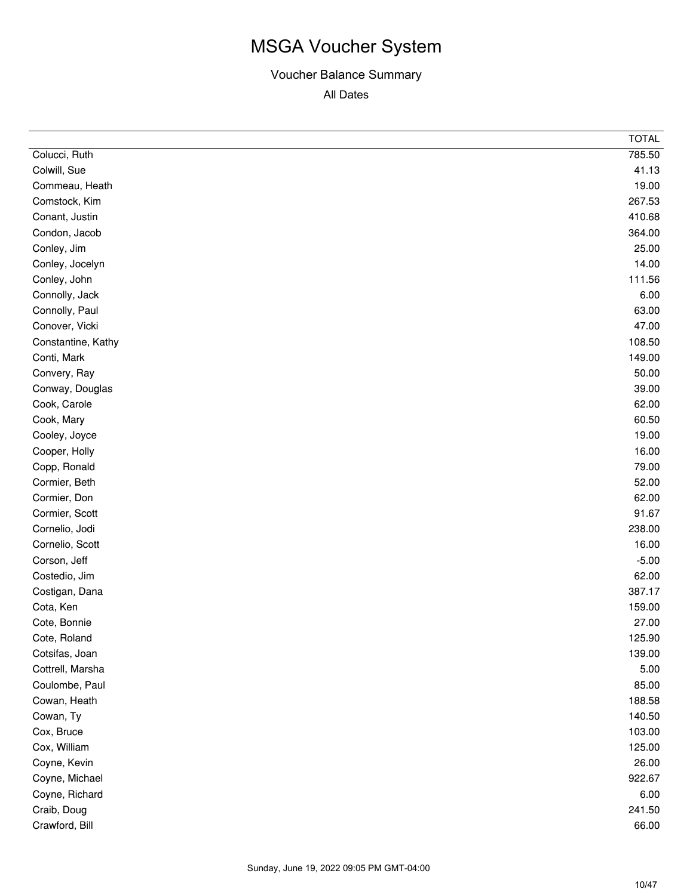|                    | <b>TOTAL</b> |
|--------------------|--------------|
| Colucci, Ruth      | 785.50       |
| Colwill, Sue       | 41.13        |
| Commeau, Heath     | 19.00        |
| Comstock, Kim      | 267.53       |
| Conant, Justin     | 410.68       |
| Condon, Jacob      | 364.00       |
| Conley, Jim        | 25.00        |
| Conley, Jocelyn    | 14.00        |
| Conley, John       | 111.56       |
| Connolly, Jack     | 6.00         |
| Connolly, Paul     | 63.00        |
| Conover, Vicki     | 47.00        |
| Constantine, Kathy | 108.50       |
| Conti, Mark        | 149.00       |
| Convery, Ray       | 50.00        |
| Conway, Douglas    | 39.00        |
| Cook, Carole       | 62.00        |
| Cook, Mary         | 60.50        |
| Cooley, Joyce      | 19.00        |
| Cooper, Holly      | 16.00        |
| Copp, Ronald       | 79.00        |
| Cormier, Beth      | 52.00        |
| Cormier, Don       | 62.00        |
| Cormier, Scott     | 91.67        |
| Cornelio, Jodi     | 238.00       |
| Cornelio, Scott    | 16.00        |
| Corson, Jeff       | $-5.00$      |
| Costedio, Jim      | 62.00        |
| Costigan, Dana     | 387.17       |
| Cota, Ken          | 159.00       |
| Cote, Bonnie       | 27.00        |
| Cote, Roland       | 125.90       |
| Cotsifas, Joan     | 139.00       |
| Cottrell, Marsha   | 5.00         |
| Coulombe, Paul     | 85.00        |
| Cowan, Heath       | 188.58       |
| Cowan, Ty          | 140.50       |
| Cox, Bruce         | 103.00       |
| Cox, William       | 125.00       |
| Coyne, Kevin       | 26.00        |
| Coyne, Michael     | 922.67       |
| Coyne, Richard     | 6.00         |
| Craib, Doug        | 241.50       |
| Crawford, Bill     | 66.00        |
|                    |              |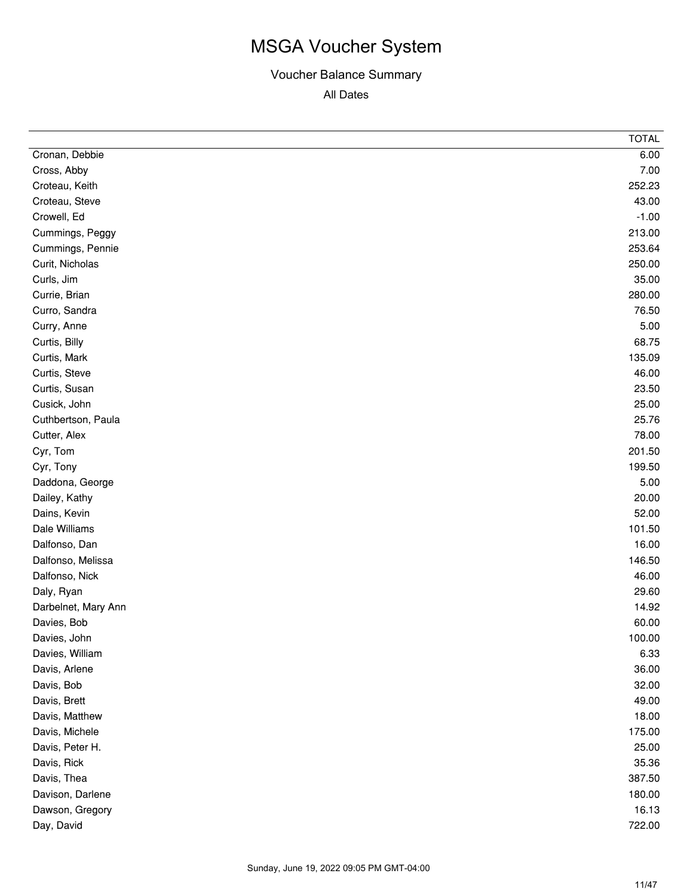| Cronan, Debbie<br>6.00<br>Cross, Abby<br>7.00<br>Croteau, Keith<br>252.23<br>Croteau, Steve<br>43.00<br>Crowell, Ed<br>$-1.00$<br>213.00<br>Cummings, Peggy<br>253.64<br>Cummings, Pennie<br>250.00<br>Curit, Nicholas<br>35.00<br>Curls, Jim<br>280.00<br>Currie, Brian<br>76.50<br>Curro, Sandra<br>5.00<br>Curry, Anne<br>Curtis, Billy<br>68.75<br>135.09<br>Curtis, Mark |
|-------------------------------------------------------------------------------------------------------------------------------------------------------------------------------------------------------------------------------------------------------------------------------------------------------------------------------------------------------------------------------|
|                                                                                                                                                                                                                                                                                                                                                                               |
|                                                                                                                                                                                                                                                                                                                                                                               |
|                                                                                                                                                                                                                                                                                                                                                                               |
|                                                                                                                                                                                                                                                                                                                                                                               |
|                                                                                                                                                                                                                                                                                                                                                                               |
|                                                                                                                                                                                                                                                                                                                                                                               |
|                                                                                                                                                                                                                                                                                                                                                                               |
|                                                                                                                                                                                                                                                                                                                                                                               |
|                                                                                                                                                                                                                                                                                                                                                                               |
|                                                                                                                                                                                                                                                                                                                                                                               |
|                                                                                                                                                                                                                                                                                                                                                                               |
|                                                                                                                                                                                                                                                                                                                                                                               |
|                                                                                                                                                                                                                                                                                                                                                                               |
|                                                                                                                                                                                                                                                                                                                                                                               |
| 46.00<br>Curtis, Steve                                                                                                                                                                                                                                                                                                                                                        |
| 23.50<br>Curtis, Susan                                                                                                                                                                                                                                                                                                                                                        |
| 25.00<br>Cusick, John                                                                                                                                                                                                                                                                                                                                                         |
| 25.76<br>Cuthbertson, Paula                                                                                                                                                                                                                                                                                                                                                   |
| 78.00<br>Cutter, Alex                                                                                                                                                                                                                                                                                                                                                         |
| 201.50<br>Cyr, Tom                                                                                                                                                                                                                                                                                                                                                            |
| 199.50<br>Cyr, Tony                                                                                                                                                                                                                                                                                                                                                           |
| 5.00<br>Daddona, George                                                                                                                                                                                                                                                                                                                                                       |
| 20.00<br>Dailey, Kathy                                                                                                                                                                                                                                                                                                                                                        |
| 52.00<br>Dains, Kevin                                                                                                                                                                                                                                                                                                                                                         |
| 101.50<br>Dale Williams                                                                                                                                                                                                                                                                                                                                                       |
| 16.00<br>Dalfonso, Dan                                                                                                                                                                                                                                                                                                                                                        |
| 146.50<br>Dalfonso, Melissa                                                                                                                                                                                                                                                                                                                                                   |
| Dalfonso, Nick<br>46.00                                                                                                                                                                                                                                                                                                                                                       |
| 29.60<br>Daly, Ryan                                                                                                                                                                                                                                                                                                                                                           |
| 14.92<br>Darbelnet, Mary Ann                                                                                                                                                                                                                                                                                                                                                  |
| Davies, Bob<br>60.00                                                                                                                                                                                                                                                                                                                                                          |
| 100.00<br>Davies, John                                                                                                                                                                                                                                                                                                                                                        |
| 6.33<br>Davies, William                                                                                                                                                                                                                                                                                                                                                       |
| Davis, Arlene<br>36.00                                                                                                                                                                                                                                                                                                                                                        |
| 32.00<br>Davis, Bob                                                                                                                                                                                                                                                                                                                                                           |
| 49.00<br>Davis, Brett                                                                                                                                                                                                                                                                                                                                                         |
| 18.00<br>Davis, Matthew                                                                                                                                                                                                                                                                                                                                                       |
| 175.00<br>Davis, Michele                                                                                                                                                                                                                                                                                                                                                      |
| 25.00<br>Davis, Peter H.                                                                                                                                                                                                                                                                                                                                                      |
| 35.36<br>Davis, Rick                                                                                                                                                                                                                                                                                                                                                          |
| 387.50<br>Davis, Thea                                                                                                                                                                                                                                                                                                                                                         |
| 180.00<br>Davison, Darlene                                                                                                                                                                                                                                                                                                                                                    |
| 16.13<br>Dawson, Gregory                                                                                                                                                                                                                                                                                                                                                      |
| Day, David<br>722.00                                                                                                                                                                                                                                                                                                                                                          |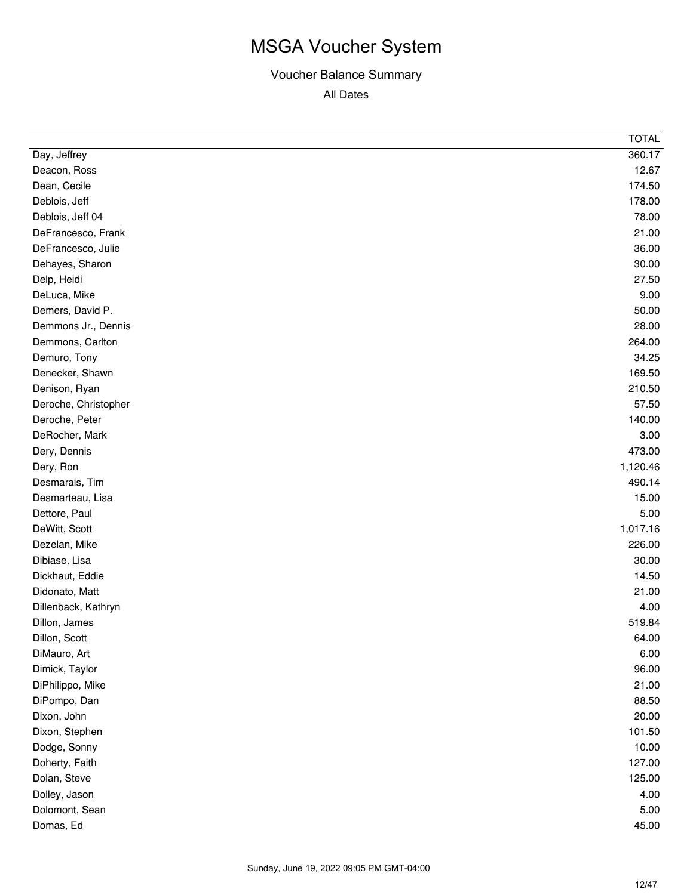|                      | <b>TOTAL</b> |
|----------------------|--------------|
| Day, Jeffrey         | 360.17       |
| Deacon, Ross         | 12.67        |
| Dean, Cecile         | 174.50       |
| Deblois, Jeff        | 178.00       |
| Deblois, Jeff 04     | 78.00        |
| DeFrancesco, Frank   | 21.00        |
| DeFrancesco, Julie   | 36.00        |
| Dehayes, Sharon      | 30.00        |
| Delp, Heidi          | 27.50        |
| DeLuca, Mike         | 9.00         |
| Demers, David P.     | 50.00        |
| Demmons Jr., Dennis  | 28.00        |
| Demmons, Carlton     | 264.00       |
| Demuro, Tony         | 34.25        |
| Denecker, Shawn      | 169.50       |
| Denison, Ryan        | 210.50       |
| Deroche, Christopher | 57.50        |
| Deroche, Peter       | 140.00       |
| DeRocher, Mark       | 3.00         |
| Dery, Dennis         | 473.00       |
| Dery, Ron            | 1,120.46     |
| Desmarais, Tim       | 490.14       |
| Desmarteau, Lisa     | 15.00        |
| Dettore, Paul        | 5.00         |
| DeWitt, Scott        | 1,017.16     |
| Dezelan, Mike        | 226.00       |
| Dibiase, Lisa        | 30.00        |
| Dickhaut, Eddie      | 14.50        |
| Didonato, Matt       | 21.00        |
| Dillenback, Kathryn  | 4.00         |
| Dillon, James        | 519.84       |
| Dillon, Scott        | 64.00        |
| DiMauro, Art         | 6.00         |
| Dimick, Taylor       | 96.00        |
| DiPhilippo, Mike     | 21.00        |
| DiPompo, Dan         | 88.50        |
| Dixon, John          | 20.00        |
| Dixon, Stephen       | 101.50       |
| Dodge, Sonny         | 10.00        |
| Doherty, Faith       | 127.00       |
| Dolan, Steve         | 125.00       |
| Dolley, Jason        | 4.00         |
| Dolomont, Sean       | 5.00         |
| Domas, Ed            | 45.00        |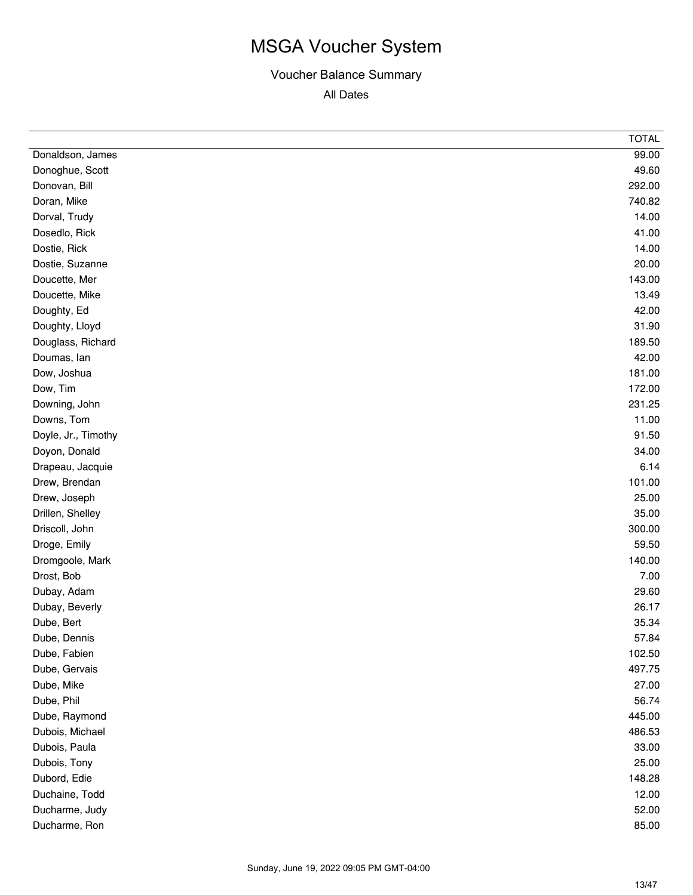|                     | <b>TOTAL</b> |
|---------------------|--------------|
| Donaldson, James    | 99.00        |
| Donoghue, Scott     | 49.60        |
| Donovan, Bill       | 292.00       |
| Doran, Mike         | 740.82       |
| Dorval, Trudy       | 14.00        |
| Dosedlo, Rick       | 41.00        |
| Dostie, Rick        | 14.00        |
| Dostie, Suzanne     | 20.00        |
| Doucette, Mer       | 143.00       |
| Doucette, Mike      | 13.49        |
| Doughty, Ed         | 42.00        |
| Doughty, Lloyd      | 31.90        |
| Douglass, Richard   | 189.50       |
| Doumas, lan         | 42.00        |
| Dow, Joshua         | 181.00       |
| Dow, Tim            | 172.00       |
| Downing, John       | 231.25       |
| Downs, Tom          | 11.00        |
| Doyle, Jr., Timothy | 91.50        |
| Doyon, Donald       | 34.00        |
| Drapeau, Jacquie    | 6.14         |
| Drew, Brendan       | 101.00       |
| Drew, Joseph        | 25.00        |
| Drillen, Shelley    | 35.00        |
| Driscoll, John      | 300.00       |
| Droge, Emily        | 59.50        |
| Dromgoole, Mark     | 140.00       |
| Drost, Bob          | 7.00         |
| Dubay, Adam         | 29.60        |
| Dubay, Beverly      | 26.17        |
| Dube, Bert          | 35.34        |
| Dube, Dennis        | 57.84        |
| Dube, Fabien        | 102.50       |
| Dube, Gervais       | 497.75       |
| Dube, Mike          | 27.00        |
| Dube, Phil          | 56.74        |
| Dube, Raymond       | 445.00       |
| Dubois, Michael     | 486.53       |
| Dubois, Paula       | 33.00        |
| Dubois, Tony        | 25.00        |
| Dubord, Edie        | 148.28       |
| Duchaine, Todd      | 12.00        |
| Ducharme, Judy      | 52.00        |
| Ducharme, Ron       | 85.00        |
|                     |              |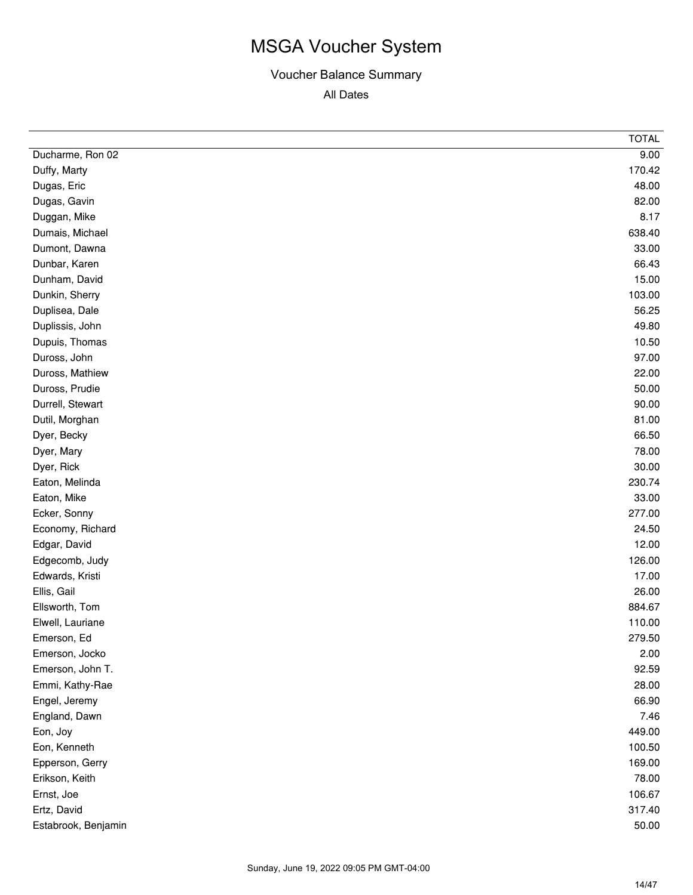|                     | <b>TOTAL</b> |
|---------------------|--------------|
| Ducharme, Ron 02    | 9.00         |
| Duffy, Marty        | 170.42       |
| Dugas, Eric         | 48.00        |
| Dugas, Gavin        | 82.00        |
| Duggan, Mike        | 8.17         |
| Dumais, Michael     | 638.40       |
| Dumont, Dawna       | 33.00        |
| Dunbar, Karen       | 66.43        |
| Dunham, David       | 15.00        |
| Dunkin, Sherry      | 103.00       |
| Duplisea, Dale      | 56.25        |
| Duplissis, John     | 49.80        |
| Dupuis, Thomas      | 10.50        |
| Duross, John        | 97.00        |
| Duross, Mathiew     | 22.00        |
| Duross, Prudie      | 50.00        |
| Durrell, Stewart    | 90.00        |
| Dutil, Morghan      | 81.00        |
| Dyer, Becky         | 66.50        |
| Dyer, Mary          | 78.00        |
| Dyer, Rick          | 30.00        |
| Eaton, Melinda      | 230.74       |
| Eaton, Mike         | 33.00        |
| Ecker, Sonny        | 277.00       |
| Economy, Richard    | 24.50        |
| Edgar, David        | 12.00        |
| Edgecomb, Judy      | 126.00       |
| Edwards, Kristi     | 17.00        |
| Ellis, Gail         | 26.00        |
| Ellsworth, Tom      | 884.67       |
| Elwell, Lauriane    | 110.00       |
| Emerson, Ed         | 279.50       |
| Emerson, Jocko      | 2.00         |
| Emerson, John T.    | 92.59        |
| Emmi, Kathy-Rae     | 28.00        |
| Engel, Jeremy       | 66.90        |
| England, Dawn       | 7.46         |
| Eon, Joy            | 449.00       |
| Eon, Kenneth        | 100.50       |
| Epperson, Gerry     | 169.00       |
| Erikson, Keith      | 78.00        |
| Ernst, Joe          | 106.67       |
| Ertz, David         | 317.40       |
| Estabrook, Benjamin | 50.00        |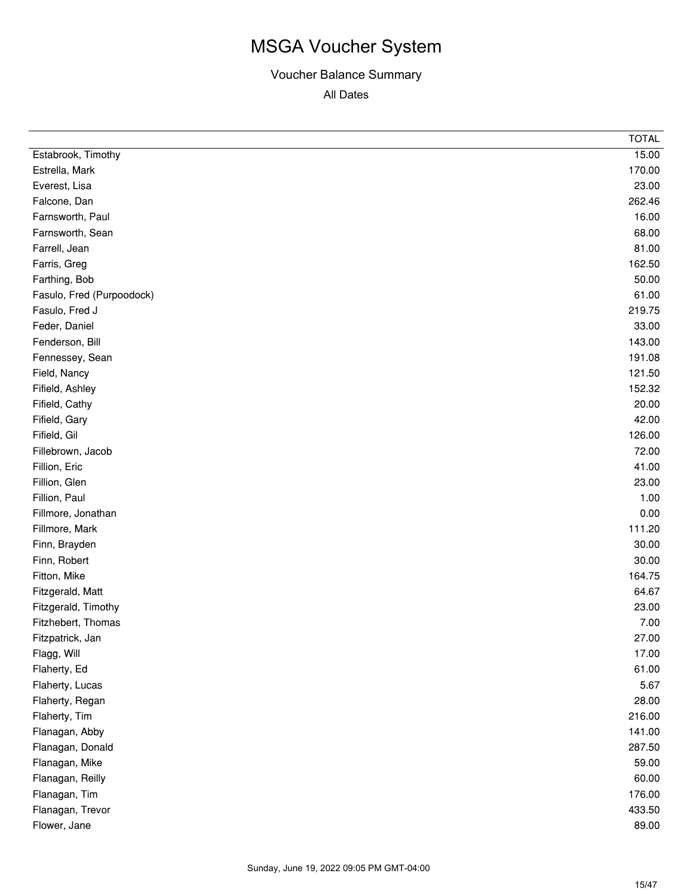|                           | <b>TOTAL</b> |
|---------------------------|--------------|
| Estabrook, Timothy        | 15.00        |
| Estrella, Mark            | 170.00       |
| Everest, Lisa             | 23.00        |
| Falcone, Dan              | 262.46       |
| Farnsworth, Paul          | 16.00        |
| Farnsworth, Sean          | 68.00        |
| Farrell, Jean             | 81.00        |
| Farris, Greg              | 162.50       |
| Farthing, Bob             | 50.00        |
| Fasulo, Fred (Purpoodock) | 61.00        |
| Fasulo, Fred J            | 219.75       |
| Feder, Daniel             | 33.00        |
| Fenderson, Bill           | 143.00       |
| Fennessey, Sean           | 191.08       |
| Field, Nancy              | 121.50       |
| Fifield, Ashley           | 152.32       |
| Fifield, Cathy            | 20.00        |
| Fifield, Gary             | 42.00        |
| Fifield, Gil              | 126.00       |
| Fillebrown, Jacob         | 72.00        |
| Fillion, Eric             | 41.00        |
| Fillion, Glen             | 23.00        |
| Fillion, Paul             | 1.00         |
| Fillmore, Jonathan        | 0.00         |
| Fillmore, Mark            | 111.20       |
| Finn, Brayden             | 30.00        |
| Finn, Robert              | 30.00        |
| Fitton, Mike              | 164.75       |
| Fitzgerald, Matt          | 64.67        |
| Fitzgerald, Timothy       | 23.00        |
| Fitzhebert, Thomas        | 7.00         |
| Fitzpatrick, Jan          | 27.00        |
| Flagg, Will               | 17.00        |
| Flaherty, Ed              | 61.00        |
| Flaherty, Lucas           | 5.67         |
| Flaherty, Regan           | 28.00        |
| Flaherty, Tim             | 216.00       |
| Flanagan, Abby            | 141.00       |
| Flanagan, Donald          | 287.50       |
| Flanagan, Mike            | 59.00        |
| Flanagan, Reilly          | 60.00        |
| Flanagan, Tim             | 176.00       |
| Flanagan, Trevor          | 433.50       |
| Flower, Jane              | 89.00        |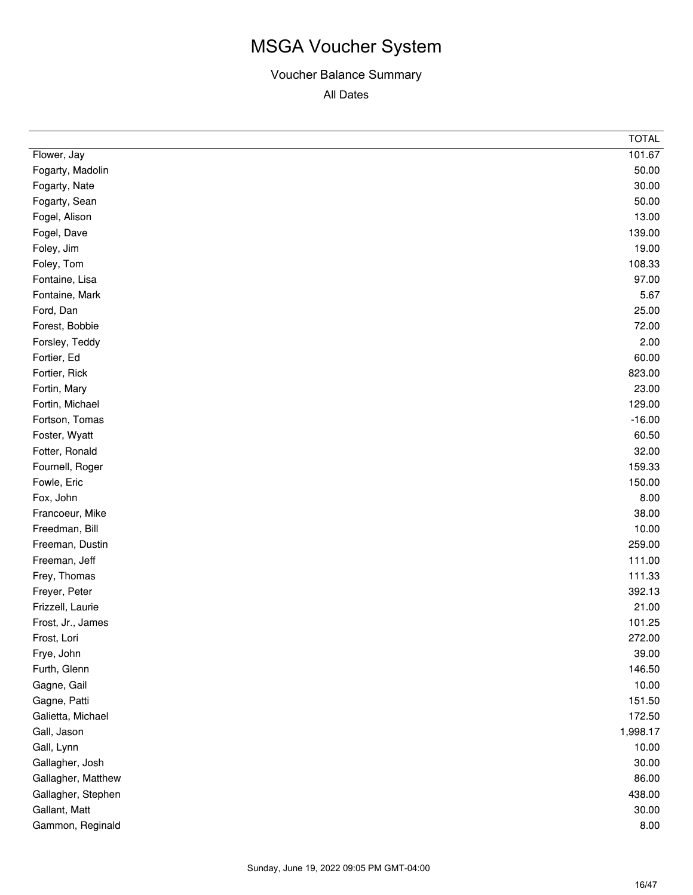|                    | <b>TOTAL</b> |
|--------------------|--------------|
| Flower, Jay        | 101.67       |
| Fogarty, Madolin   | 50.00        |
| Fogarty, Nate      | 30.00        |
| Fogarty, Sean      | 50.00        |
| Fogel, Alison      | 13.00        |
| Fogel, Dave        | 139.00       |
| Foley, Jim         | 19.00        |
| Foley, Tom         | 108.33       |
| Fontaine, Lisa     | 97.00        |
| Fontaine, Mark     | 5.67         |
| Ford, Dan          | 25.00        |
| Forest, Bobbie     | 72.00        |
| Forsley, Teddy     | 2.00         |
| Fortier, Ed        | 60.00        |
| Fortier, Rick      | 823.00       |
| Fortin, Mary       | 23.00        |
| Fortin, Michael    | 129.00       |
| Fortson, Tomas     | $-16.00$     |
| Foster, Wyatt      | 60.50        |
| Fotter, Ronald     | 32.00        |
| Fournell, Roger    | 159.33       |
| Fowle, Eric        | 150.00       |
| Fox, John          | 8.00         |
| Francoeur, Mike    | 38.00        |
| Freedman, Bill     | 10.00        |
| Freeman, Dustin    | 259.00       |
| Freeman, Jeff      | 111.00       |
| Frey, Thomas       | 111.33       |
| Freyer, Peter      | 392.13       |
| Frizzell, Laurie   | 21.00        |
| Frost, Jr., James  | 101.25       |
| Frost, Lori        | 272.00       |
| Frye, John         | 39.00        |
| Furth, Glenn       | 146.50       |
| Gagne, Gail        | 10.00        |
| Gagne, Patti       | 151.50       |
| Galietta, Michael  | 172.50       |
| Gall, Jason        | 1,998.17     |
| Gall, Lynn         | 10.00        |
| Gallagher, Josh    | 30.00        |
| Gallagher, Matthew | 86.00        |
| Gallagher, Stephen | 438.00       |
| Gallant, Matt      | 30.00        |
| Gammon, Reginald   | 8.00         |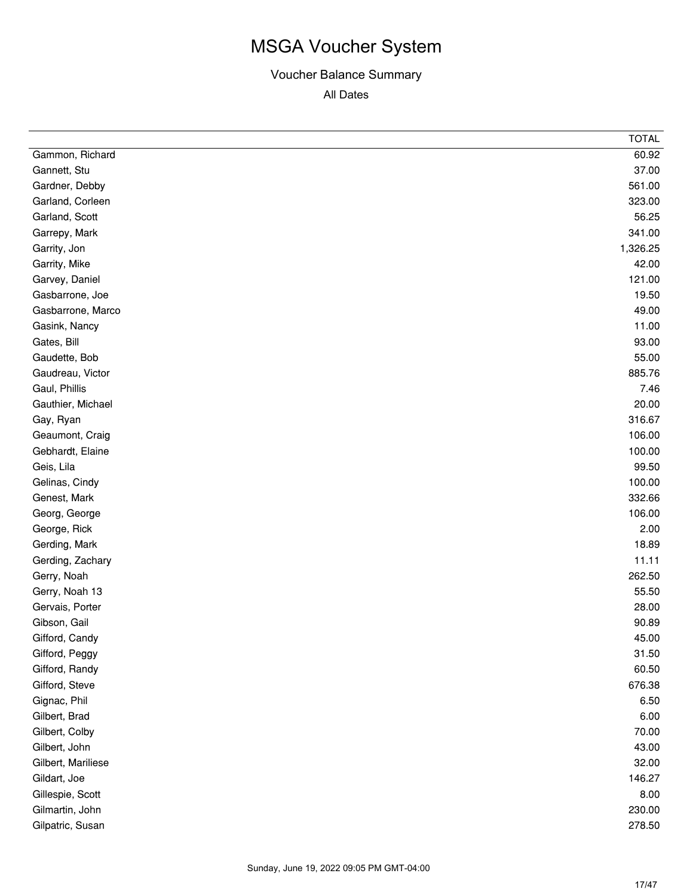|                    | <b>TOTAL</b> |
|--------------------|--------------|
| Gammon, Richard    | 60.92        |
| Gannett, Stu       | 37.00        |
| Gardner, Debby     | 561.00       |
| Garland, Corleen   | 323.00       |
| Garland, Scott     | 56.25        |
| Garrepy, Mark      | 341.00       |
| Garrity, Jon       | 1,326.25     |
| Garrity, Mike      | 42.00        |
| Garvey, Daniel     | 121.00       |
| Gasbarrone, Joe    | 19.50        |
| Gasbarrone, Marco  | 49.00        |
| Gasink, Nancy      | 11.00        |
| Gates, Bill        | 93.00        |
| Gaudette, Bob      | 55.00        |
| Gaudreau, Victor   | 885.76       |
| Gaul, Phillis      | 7.46         |
| Gauthier, Michael  | 20.00        |
| Gay, Ryan          | 316.67       |
| Geaumont, Craig    | 106.00       |
| Gebhardt, Elaine   | 100.00       |
| Geis, Lila         | 99.50        |
| Gelinas, Cindy     | 100.00       |
| Genest, Mark       | 332.66       |
| Georg, George      | 106.00       |
| George, Rick       | 2.00         |
| Gerding, Mark      | 18.89        |
| Gerding, Zachary   | 11.11        |
| Gerry, Noah        | 262.50       |
| Gerry, Noah 13     | 55.50        |
| Gervais, Porter    | 28.00        |
| Gibson, Gail       | 90.89        |
| Gifford, Candy     | 45.00        |
| Gifford, Peggy     | 31.50        |
| Gifford, Randy     | 60.50        |
| Gifford, Steve     | 676.38       |
| Gignac, Phil       | 6.50         |
| Gilbert, Brad      | 6.00         |
| Gilbert, Colby     | 70.00        |
| Gilbert, John      | 43.00        |
| Gilbert, Mariliese | 32.00        |
| Gildart, Joe       | 146.27       |
| Gillespie, Scott   | 8.00         |
| Gilmartin, John    | 230.00       |
| Gilpatric, Susan   | 278.50       |
|                    |              |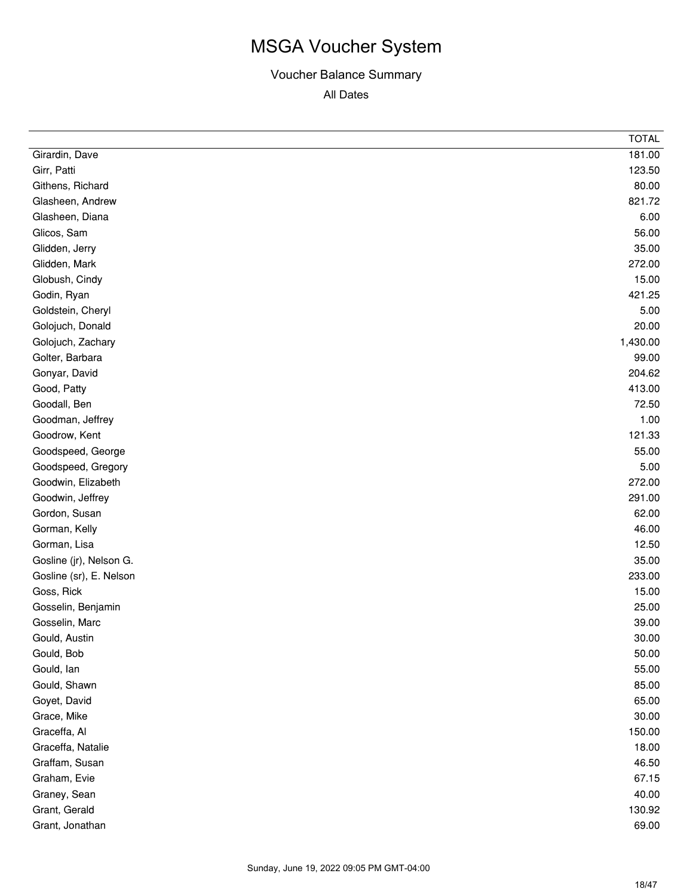|                         | <b>TOTAL</b> |
|-------------------------|--------------|
| Girardin, Dave          | 181.00       |
| Girr, Patti             | 123.50       |
| Githens, Richard        | 80.00        |
| Glasheen, Andrew        | 821.72       |
| Glasheen, Diana         | 6.00         |
| Glicos, Sam             | 56.00        |
| Glidden, Jerry          | 35.00        |
| Glidden, Mark           | 272.00       |
| Globush, Cindy          | 15.00        |
| Godin, Ryan             | 421.25       |
| Goldstein, Cheryl       | 5.00         |
| Golojuch, Donald        | 20.00        |
| Golojuch, Zachary       | 1,430.00     |
| Golter, Barbara         | 99.00        |
| Gonyar, David           | 204.62       |
| Good, Patty             | 413.00       |
| Goodall, Ben            | 72.50        |
| Goodman, Jeffrey        | 1.00         |
| Goodrow, Kent           | 121.33       |
| Goodspeed, George       | 55.00        |
| Goodspeed, Gregory      | 5.00         |
| Goodwin, Elizabeth      | 272.00       |
| Goodwin, Jeffrey        | 291.00       |
| Gordon, Susan           | 62.00        |
| Gorman, Kelly           | 46.00        |
| Gorman, Lisa            | 12.50        |
| Gosline (jr), Nelson G. | 35.00        |
| Gosline (sr), E. Nelson | 233.00       |
| Goss, Rick              | 15.00        |
| Gosselin, Benjamin      | 25.00        |
| Gosselin, Marc          | 39.00        |
| Gould, Austin           | 30.00        |
| Gould, Bob              | 50.00        |
| Gould, lan              | 55.00        |
| Gould, Shawn            | 85.00        |
| Goyet, David            | 65.00        |
| Grace, Mike             | 30.00        |
| Graceffa, Al            | 150.00       |
| Graceffa, Natalie       | 18.00        |
| Graffam, Susan          | 46.50        |
| Graham, Evie            | 67.15        |
| Graney, Sean            | 40.00        |
| Grant, Gerald           | 130.92       |
| Grant, Jonathan         | 69.00        |
|                         |              |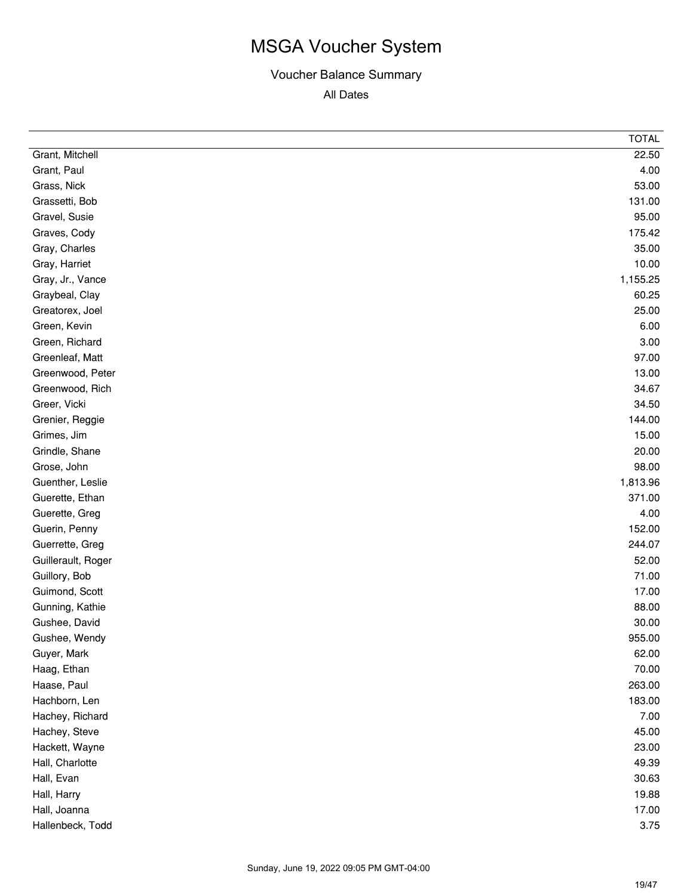|                    | <b>TOTAL</b> |
|--------------------|--------------|
| Grant, Mitchell    | 22.50        |
| Grant, Paul        | 4.00         |
| Grass, Nick        | 53.00        |
| Grassetti, Bob     | 131.00       |
| Gravel, Susie      | 95.00        |
| Graves, Cody       | 175.42       |
| Gray, Charles      | 35.00        |
| Gray, Harriet      | 10.00        |
| Gray, Jr., Vance   | 1,155.25     |
| Graybeal, Clay     | 60.25        |
| Greatorex, Joel    | 25.00        |
| Green, Kevin       | 6.00         |
| Green, Richard     | 3.00         |
| Greenleaf, Matt    | 97.00        |
| Greenwood, Peter   | 13.00        |
| Greenwood, Rich    | 34.67        |
| Greer, Vicki       | 34.50        |
| Grenier, Reggie    | 144.00       |
| Grimes, Jim        | 15.00        |
| Grindle, Shane     | 20.00        |
| Grose, John        | 98.00        |
| Guenther, Leslie   | 1,813.96     |
| Guerette, Ethan    | 371.00       |
| Guerette, Greg     | 4.00         |
| Guerin, Penny      | 152.00       |
| Guerrette, Greg    | 244.07       |
| Guillerault, Roger | 52.00        |
| Guillory, Bob      | 71.00        |
| Guimond, Scott     | 17.00        |
| Gunning, Kathie    | 88.00        |
| Gushee, David      | 30.00        |
| Gushee, Wendy      | 955.00       |
| Guyer, Mark        | 62.00        |
| Haag, Ethan        | 70.00        |
| Haase, Paul        | 263.00       |
| Hachborn, Len      | 183.00       |
| Hachey, Richard    | 7.00         |
| Hachey, Steve      | 45.00        |
| Hackett, Wayne     | 23.00        |
| Hall, Charlotte    | 49.39        |
| Hall, Evan         | 30.63        |
| Hall, Harry        | 19.88        |
| Hall, Joanna       | 17.00        |
| Hallenbeck, Todd   | 3.75         |
|                    |              |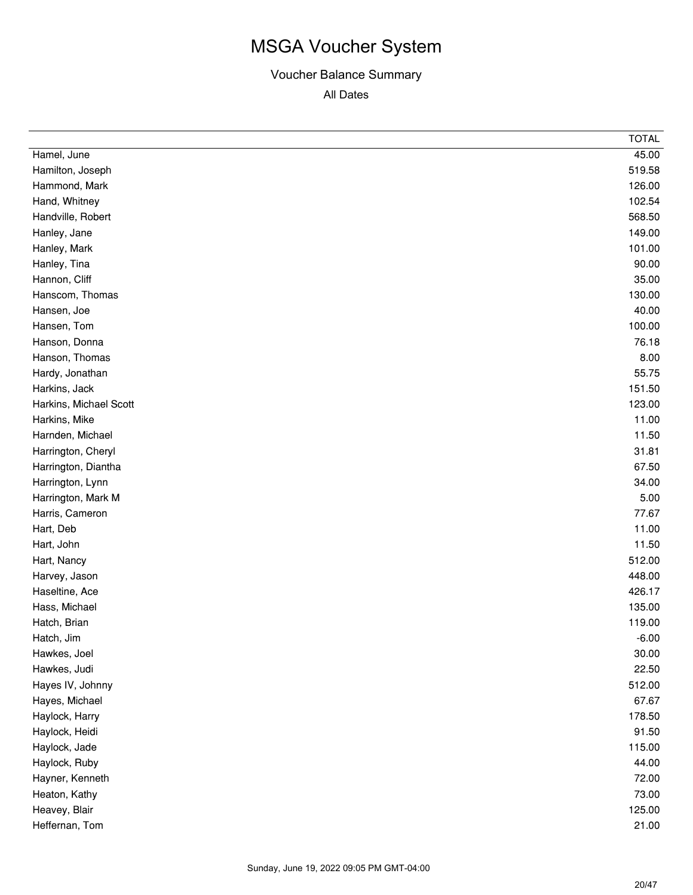|                        | <b>TOTAL</b> |
|------------------------|--------------|
| Hamel, June            | 45.00        |
| Hamilton, Joseph       | 519.58       |
| Hammond, Mark          | 126.00       |
| Hand, Whitney          | 102.54       |
| Handville, Robert      | 568.50       |
| Hanley, Jane           | 149.00       |
| Hanley, Mark           | 101.00       |
| Hanley, Tina           | 90.00        |
| Hannon, Cliff          | 35.00        |
| Hanscom, Thomas        | 130.00       |
| Hansen, Joe            | 40.00        |
| Hansen, Tom            | 100.00       |
| Hanson, Donna          | 76.18        |
| Hanson, Thomas         | 8.00         |
| Hardy, Jonathan        | 55.75        |
| Harkins, Jack          | 151.50       |
| Harkins, Michael Scott | 123.00       |
| Harkins, Mike          | 11.00        |
| Harnden, Michael       | 11.50        |
| Harrington, Cheryl     | 31.81        |
| Harrington, Diantha    | 67.50        |
| Harrington, Lynn       | 34.00        |
| Harrington, Mark M     | 5.00         |
| Harris, Cameron        | 77.67        |
| Hart, Deb              | 11.00        |
| Hart, John             | 11.50        |
| Hart, Nancy            | 512.00       |
| Harvey, Jason          | 448.00       |
| Haseltine, Ace         | 426.17       |
| Hass, Michael          | 135.00       |
| Hatch, Brian           | 119.00       |
| Hatch, Jim             | $-6.00$      |
| Hawkes, Joel           | 30.00        |
| Hawkes, Judi           | 22.50        |
| Hayes IV, Johnny       | 512.00       |
| Hayes, Michael         | 67.67        |
| Haylock, Harry         | 178.50       |
| Haylock, Heidi         | 91.50        |
| Haylock, Jade          | 115.00       |
| Haylock, Ruby          | 44.00        |
| Hayner, Kenneth        | 72.00        |
| Heaton, Kathy          | 73.00        |
| Heavey, Blair          | 125.00       |
| Heffernan, Tom         | 21.00        |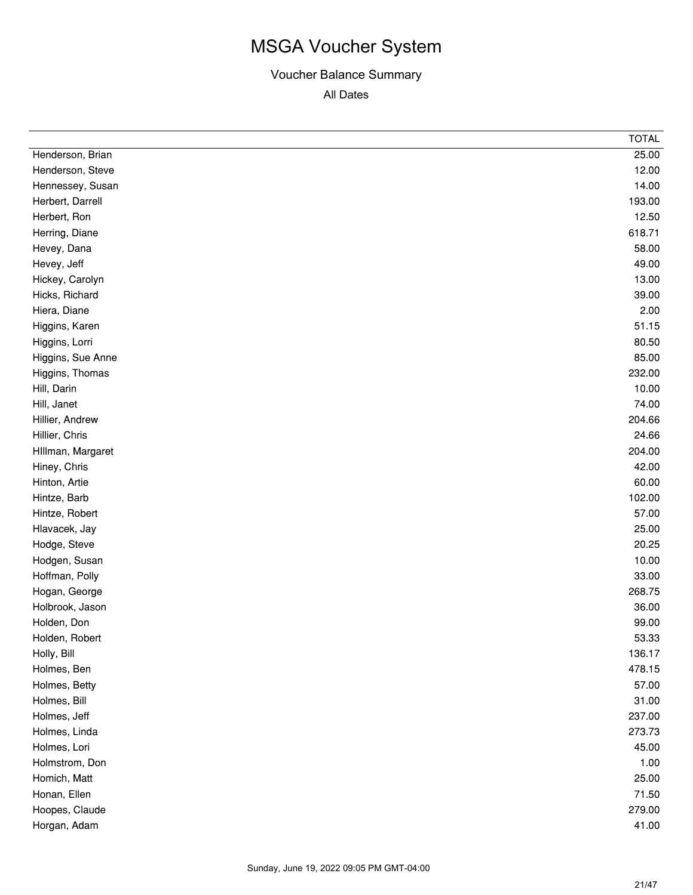|                   | <b>TOTAL</b> |
|-------------------|--------------|
| Henderson, Brian  | 25.00        |
| Henderson, Steve  | 12.00        |
| Hennessey, Susan  | 14.00        |
| Herbert, Darrell  | 193.00       |
| Herbert, Ron      | 12.50        |
| Herring, Diane    | 618.71       |
| Hevey, Dana       | 58.00        |
| Hevey, Jeff       | 49.00        |
| Hickey, Carolyn   | 13.00        |
| Hicks, Richard    | 39.00        |
| Hiera, Diane      | 2.00         |
| Higgins, Karen    | 51.15        |
| Higgins, Lorri    | 80.50        |
| Higgins, Sue Anne | 85.00        |
| Higgins, Thomas   | 232.00       |
| Hill, Darin       | 10.00        |
| Hill, Janet       | 74.00        |
| Hillier, Andrew   | 204.66       |
| Hillier, Chris    | 24.66        |
| Hillman, Margaret | 204.00       |
| Hiney, Chris      | 42.00        |
| Hinton, Artie     | 60.00        |
| Hintze, Barb      | 102.00       |
| Hintze, Robert    | 57.00        |
| Hlavacek, Jay     | 25.00        |
| Hodge, Steve      | 20.25        |
| Hodgen, Susan     | 10.00        |
| Hoffman, Polly    | 33.00        |
| Hogan, George     | 268.75       |
| Holbrook, Jason   | 36.00        |
| Holden, Don       | 99.00        |
| Holden, Robert    | 53.33        |
| Holly, Bill       | 136.17       |
| Holmes, Ben       | 478.15       |
| Holmes, Betty     | 57.00        |
| Holmes, Bill      | 31.00        |
| Holmes, Jeff      | 237.00       |
| Holmes, Linda     | 273.73       |
| Holmes, Lori      | 45.00        |
| Holmstrom, Don    | 1.00         |
| Homich, Matt      | 25.00        |
| Honan, Ellen      | 71.50        |
| Hoopes, Claude    | 279.00       |
| Horgan, Adam      | 41.00        |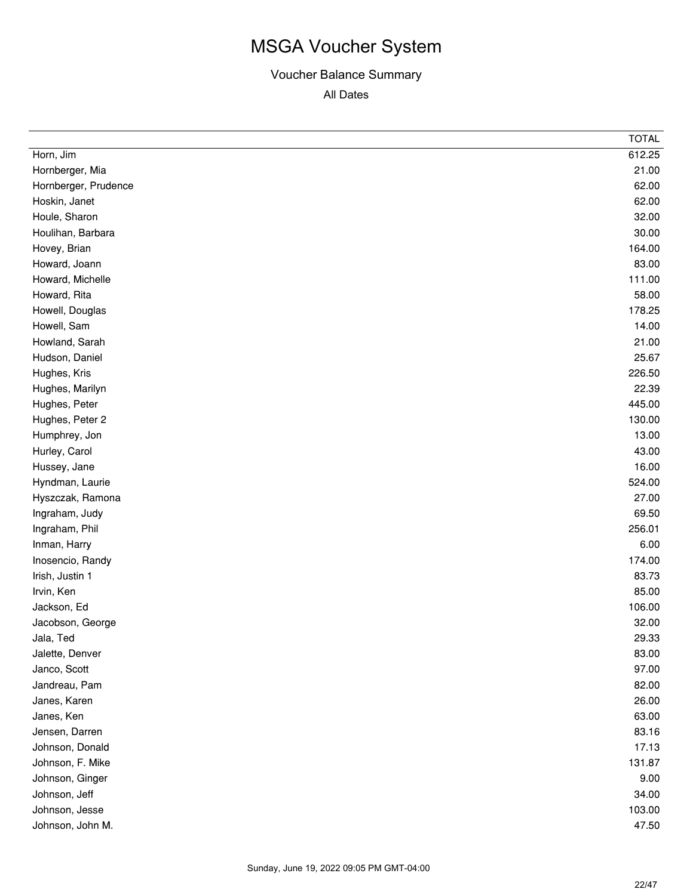|                      | <b>TOTAL</b> |
|----------------------|--------------|
| Horn, Jim            | 612.25       |
| Hornberger, Mia      | 21.00        |
| Hornberger, Prudence | 62.00        |
| Hoskin, Janet        | 62.00        |
| Houle, Sharon        | 32.00        |
| Houlihan, Barbara    | 30.00        |
| Hovey, Brian         | 164.00       |
| Howard, Joann        | 83.00        |
| Howard, Michelle     | 111.00       |
| Howard, Rita         | 58.00        |
| Howell, Douglas      | 178.25       |
| Howell, Sam          | 14.00        |
| Howland, Sarah       | 21.00        |
| Hudson, Daniel       | 25.67        |
| Hughes, Kris         | 226.50       |
| Hughes, Marilyn      | 22.39        |
| Hughes, Peter        | 445.00       |
| Hughes, Peter 2      | 130.00       |
| Humphrey, Jon        | 13.00        |
| Hurley, Carol        | 43.00        |
| Hussey, Jane         | 16.00        |
| Hyndman, Laurie      | 524.00       |
| Hyszczak, Ramona     | 27.00        |
| Ingraham, Judy       | 69.50        |
| Ingraham, Phil       | 256.01       |
| Inman, Harry         | 6.00         |
| Inosencio, Randy     | 174.00       |
| Irish, Justin 1      | 83.73        |
| Irvin, Ken           | 85.00        |
| Jackson, Ed          | 106.00       |
| Jacobson, George     | 32.00        |
| Jala, Ted            | 29.33        |
| Jalette, Denver      | 83.00        |
| Janco, Scott         | 97.00        |
| Jandreau, Pam        | 82.00        |
| Janes, Karen         | 26.00        |
| Janes, Ken           | 63.00        |
| Jensen, Darren       | 83.16        |
| Johnson, Donald      | 17.13        |
| Johnson, F. Mike     | 131.87       |
| Johnson, Ginger      | 9.00         |
| Johnson, Jeff        | 34.00        |
| Johnson, Jesse       | 103.00       |
| Johnson, John M.     | 47.50        |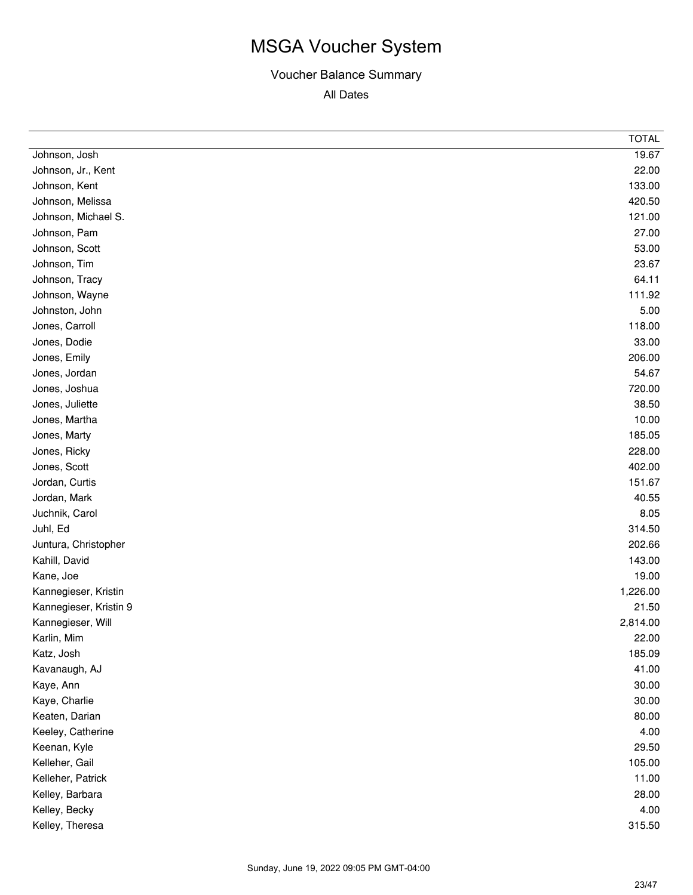|                        | <b>TOTAL</b> |
|------------------------|--------------|
| Johnson, Josh          | 19.67        |
| Johnson, Jr., Kent     | 22.00        |
| Johnson, Kent          | 133.00       |
| Johnson, Melissa       | 420.50       |
| Johnson, Michael S.    | 121.00       |
| Johnson, Pam           | 27.00        |
| Johnson, Scott         | 53.00        |
| Johnson, Tim           | 23.67        |
| Johnson, Tracy         | 64.11        |
| Johnson, Wayne         | 111.92       |
| Johnston, John         | 5.00         |
| Jones, Carroll         | 118.00       |
| Jones, Dodie           | 33.00        |
| Jones, Emily           | 206.00       |
| Jones, Jordan          | 54.67        |
| Jones, Joshua          | 720.00       |
| Jones, Juliette        | 38.50        |
| Jones, Martha          | 10.00        |
| Jones, Marty           | 185.05       |
| Jones, Ricky           | 228.00       |
| Jones, Scott           | 402.00       |
| Jordan, Curtis         | 151.67       |
| Jordan, Mark           | 40.55        |
| Juchnik, Carol         | 8.05         |
| Juhl, Ed               | 314.50       |
| Juntura, Christopher   | 202.66       |
| Kahill, David          | 143.00       |
| Kane, Joe              | 19.00        |
| Kannegieser, Kristin   | 1,226.00     |
| Kannegieser, Kristin 9 | 21.50        |
| Kannegieser, Will      | 2,814.00     |
| Karlin, Mim            | 22.00        |
| Katz, Josh             | 185.09       |
| Kavanaugh, AJ          | 41.00        |
| Kaye, Ann              | 30.00        |
| Kaye, Charlie          | 30.00        |
| Keaten, Darian         | 80.00        |
| Keeley, Catherine      | 4.00         |
| Keenan, Kyle           | 29.50        |
| Kelleher, Gail         | 105.00       |
| Kelleher, Patrick      | 11.00        |
| Kelley, Barbara        | 28.00        |
| Kelley, Becky          | 4.00         |
| Kelley, Theresa        | 315.50       |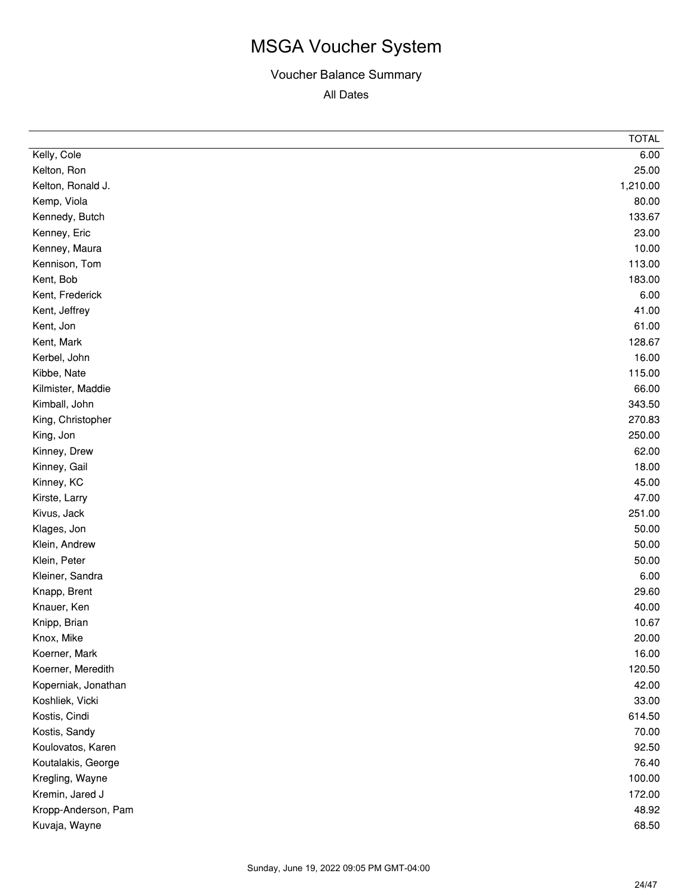|                     | <b>TOTAL</b> |
|---------------------|--------------|
| Kelly, Cole         | 6.00         |
| Kelton, Ron         | 25.00        |
| Kelton, Ronald J.   | 1,210.00     |
| Kemp, Viola         | 80.00        |
| Kennedy, Butch      | 133.67       |
| Kenney, Eric        | 23.00        |
| Kenney, Maura       | 10.00        |
| Kennison, Tom       | 113.00       |
| Kent, Bob           | 183.00       |
| Kent, Frederick     | 6.00         |
| Kent, Jeffrey       | 41.00        |
| Kent, Jon           | 61.00        |
| Kent, Mark          | 128.67       |
| Kerbel, John        | 16.00        |
| Kibbe, Nate         | 115.00       |
| Kilmister, Maddie   | 66.00        |
| Kimball, John       | 343.50       |
| King, Christopher   | 270.83       |
| King, Jon           | 250.00       |
| Kinney, Drew        | 62.00        |
| Kinney, Gail        | 18.00        |
| Kinney, KC          | 45.00        |
| Kirste, Larry       | 47.00        |
| Kivus, Jack         | 251.00       |
| Klages, Jon         | 50.00        |
| Klein, Andrew       | 50.00        |
| Klein, Peter        | 50.00        |
| Kleiner, Sandra     | 6.00         |
| Knapp, Brent        | 29.60        |
| Knauer, Ken         | 40.00        |
| Knipp, Brian        | 10.67        |
| Knox, Mike          | 20.00        |
| Koerner, Mark       | 16.00        |
| Koerner, Meredith   | 120.50       |
| Koperniak, Jonathan | 42.00        |
| Koshliek, Vicki     | 33.00        |
| Kostis, Cindi       | 614.50       |
| Kostis, Sandy       | 70.00        |
| Koulovatos, Karen   | 92.50        |
| Koutalakis, George  | 76.40        |
| Kregling, Wayne     | 100.00       |
| Kremin, Jared J     | 172.00       |
| Kropp-Anderson, Pam | 48.92        |
| Kuvaja, Wayne       | 68.50        |
|                     |              |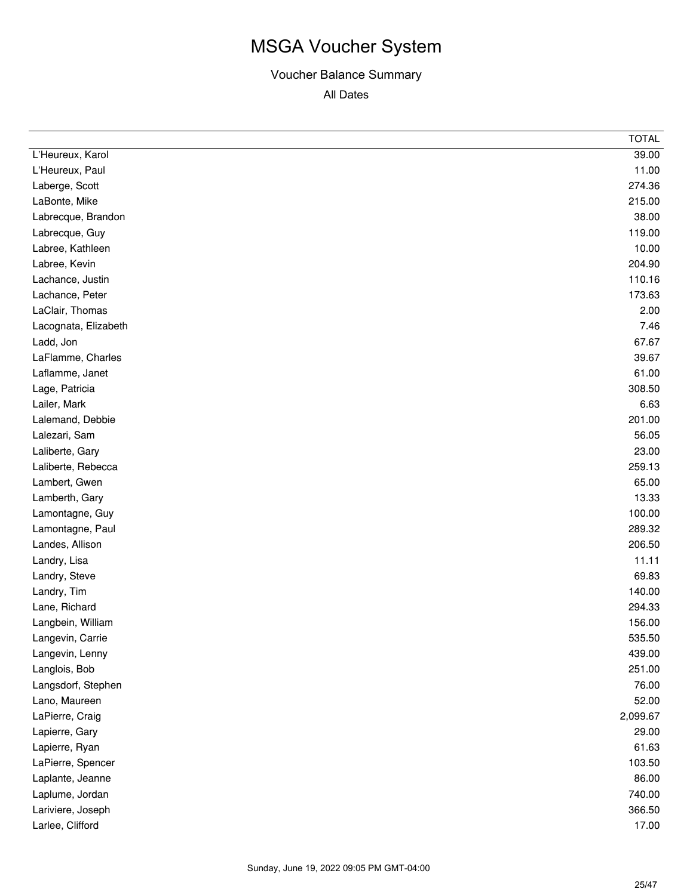|                      | <b>TOTAL</b> |
|----------------------|--------------|
| L'Heureux, Karol     | 39.00        |
| L'Heureux, Paul      | 11.00        |
| Laberge, Scott       | 274.36       |
| LaBonte, Mike        | 215.00       |
| Labrecque, Brandon   | 38.00        |
| Labrecque, Guy       | 119.00       |
| Labree, Kathleen     | 10.00        |
| Labree, Kevin        | 204.90       |
| Lachance, Justin     | 110.16       |
| Lachance, Peter      | 173.63       |
| LaClair, Thomas      | 2.00         |
| Lacognata, Elizabeth | 7.46         |
| Ladd, Jon            | 67.67        |
| LaFlamme, Charles    | 39.67        |
| Laflamme, Janet      | 61.00        |
| Lage, Patricia       | 308.50       |
| Lailer, Mark         | 6.63         |
| Lalemand, Debbie     | 201.00       |
| Lalezari, Sam        | 56.05        |
| Laliberte, Gary      | 23.00        |
| Laliberte, Rebecca   | 259.13       |
| Lambert, Gwen        | 65.00        |
| Lamberth, Gary       | 13.33        |
| Lamontagne, Guy      | 100.00       |
| Lamontagne, Paul     | 289.32       |
| Landes, Allison      | 206.50       |
| Landry, Lisa         | 11.11        |
| Landry, Steve        | 69.83        |
| Landry, Tim          | 140.00       |
| Lane, Richard        | 294.33       |
| Langbein, William    | 156.00       |
| Langevin, Carrie     | 535.50       |
| Langevin, Lenny      | 439.00       |
| Langlois, Bob        | 251.00       |
| Langsdorf, Stephen   | 76.00        |
| Lano, Maureen        | 52.00        |
| LaPierre, Craig      | 2,099.67     |
| Lapierre, Gary       | 29.00        |
| Lapierre, Ryan       | 61.63        |
| LaPierre, Spencer    | 103.50       |
| Laplante, Jeanne     | 86.00        |
| Laplume, Jordan      | 740.00       |
| Lariviere, Joseph    | 366.50       |
| Larlee, Clifford     | 17.00        |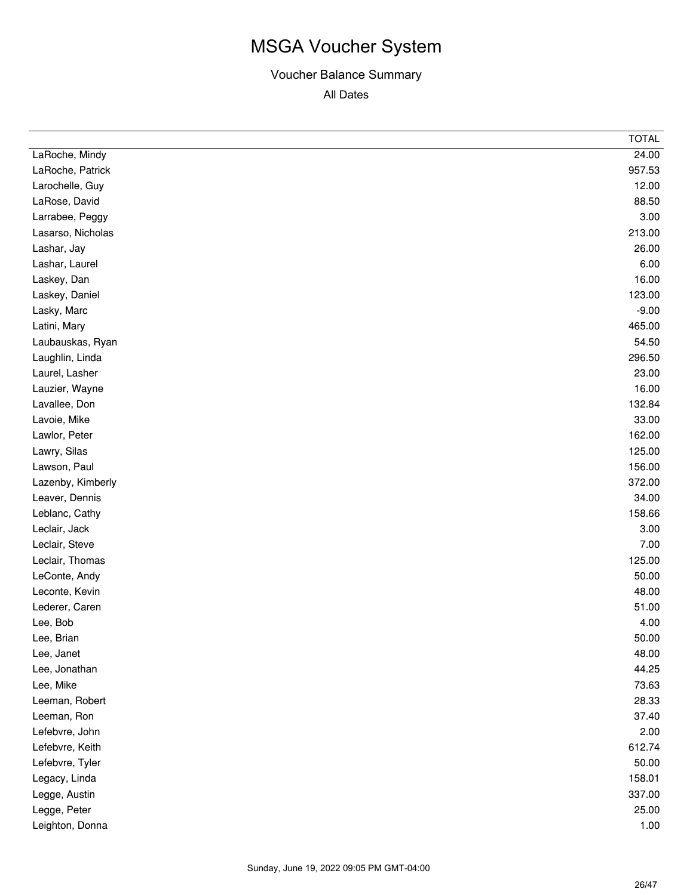| LaRoche, Mindy<br>LaRoche, Patrick<br>Larochelle, Guy<br>LaRose, David<br>Larrabee, Peggy<br>Lasarso, Nicholas<br>Lashar, Jay | 24.00<br>957.53<br>12.00<br>88.50<br>3.00<br>213.00<br>26.00<br>6.00<br>16.00<br>123.00<br>$-9.00$<br>465.00 |
|-------------------------------------------------------------------------------------------------------------------------------|--------------------------------------------------------------------------------------------------------------|
|                                                                                                                               |                                                                                                              |
|                                                                                                                               |                                                                                                              |
|                                                                                                                               |                                                                                                              |
|                                                                                                                               |                                                                                                              |
|                                                                                                                               |                                                                                                              |
|                                                                                                                               |                                                                                                              |
|                                                                                                                               |                                                                                                              |
| Lashar, Laurel                                                                                                                |                                                                                                              |
| Laskey, Dan                                                                                                                   |                                                                                                              |
| Laskey, Daniel                                                                                                                |                                                                                                              |
| Lasky, Marc                                                                                                                   |                                                                                                              |
| Latini, Mary                                                                                                                  |                                                                                                              |
| Laubauskas, Ryan                                                                                                              | 54.50                                                                                                        |
| Laughlin, Linda                                                                                                               | 296.50                                                                                                       |
| Laurel, Lasher                                                                                                                | 23.00                                                                                                        |
| Lauzier, Wayne                                                                                                                | 16.00                                                                                                        |
| Lavallee, Don                                                                                                                 | 132.84                                                                                                       |
| Lavoie, Mike                                                                                                                  | 33.00                                                                                                        |
| Lawlor, Peter                                                                                                                 | 162.00                                                                                                       |
| Lawry, Silas                                                                                                                  | 125.00                                                                                                       |
| Lawson, Paul                                                                                                                  | 156.00                                                                                                       |
| Lazenby, Kimberly                                                                                                             | 372.00                                                                                                       |
| Leaver, Dennis                                                                                                                | 34.00                                                                                                        |
| Leblanc, Cathy                                                                                                                | 158.66                                                                                                       |
| Leclair, Jack                                                                                                                 | 3.00                                                                                                         |
| Leclair, Steve                                                                                                                | 7.00                                                                                                         |
| Leclair, Thomas                                                                                                               | 125.00                                                                                                       |
| LeConte, Andy                                                                                                                 | 50.00                                                                                                        |
| Leconte, Kevin                                                                                                                | 48.00                                                                                                        |
| Lederer, Caren                                                                                                                | 51.00                                                                                                        |
| Lee, Bob                                                                                                                      | 4.00                                                                                                         |
| Lee, Brian                                                                                                                    | 50.00                                                                                                        |
| Lee, Janet                                                                                                                    | 48.00                                                                                                        |
| Lee, Jonathan                                                                                                                 | 44.25                                                                                                        |
| Lee, Mike                                                                                                                     | 73.63                                                                                                        |
| Leeman, Robert                                                                                                                | 28.33                                                                                                        |
| Leeman, Ron                                                                                                                   | 37.40                                                                                                        |
| Lefebvre, John                                                                                                                | 2.00                                                                                                         |
| Lefebvre, Keith                                                                                                               | 612.74                                                                                                       |
| Lefebvre, Tyler                                                                                                               | 50.00                                                                                                        |
| Legacy, Linda                                                                                                                 | 158.01                                                                                                       |
| Legge, Austin                                                                                                                 | 337.00                                                                                                       |
| Legge, Peter                                                                                                                  | 25.00                                                                                                        |
| Leighton, Donna                                                                                                               | 1.00                                                                                                         |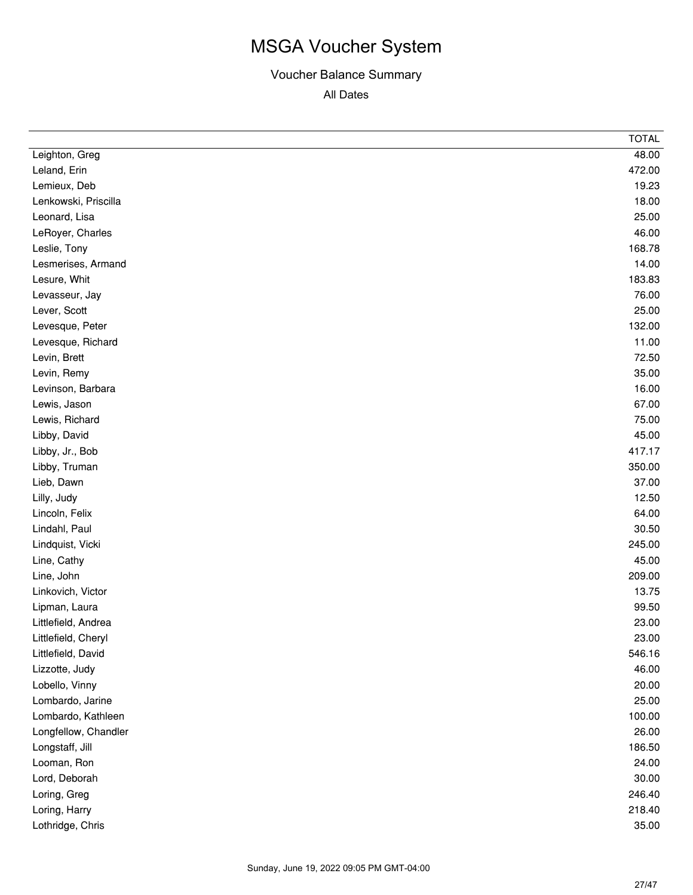|                      | <b>TOTAL</b> |
|----------------------|--------------|
| Leighton, Greg       | 48.00        |
| Leland, Erin         | 472.00       |
| Lemieux, Deb         | 19.23        |
| Lenkowski, Priscilla | 18.00        |
| Leonard, Lisa        | 25.00        |
| LeRoyer, Charles     | 46.00        |
| Leslie, Tony         | 168.78       |
| Lesmerises, Armand   | 14.00        |
| Lesure, Whit         | 183.83       |
| Levasseur, Jay       | 76.00        |
| Lever, Scott         | 25.00        |
| Levesque, Peter      | 132.00       |
| Levesque, Richard    | 11.00        |
| Levin, Brett         | 72.50        |
| Levin, Remy          | 35.00        |
| Levinson, Barbara    | 16.00        |
| Lewis, Jason         | 67.00        |
| Lewis, Richard       | 75.00        |
| Libby, David         | 45.00        |
| Libby, Jr., Bob      | 417.17       |
| Libby, Truman        | 350.00       |
| Lieb, Dawn           | 37.00        |
| Lilly, Judy          | 12.50        |
| Lincoln, Felix       | 64.00        |
| Lindahl, Paul        | 30.50        |
| Lindquist, Vicki     | 245.00       |
| Line, Cathy          | 45.00        |
| Line, John           | 209.00       |
| Linkovich, Victor    | 13.75        |
| Lipman, Laura        | 99.50        |
| Littlefield, Andrea  | 23.00        |
| Littlefield, Cheryl  | 23.00        |
| Littlefield, David   | 546.16       |
| Lizzotte, Judy       | 46.00        |
| Lobello, Vinny       | 20.00        |
| Lombardo, Jarine     | 25.00        |
| Lombardo, Kathleen   | 100.00       |
| Longfellow, Chandler | 26.00        |
| Longstaff, Jill      | 186.50       |
| Looman, Ron          | 24.00        |
| Lord, Deborah        | 30.00        |
| Loring, Greg         | 246.40       |
| Loring, Harry        | 218.40       |
| Lothridge, Chris     | 35.00        |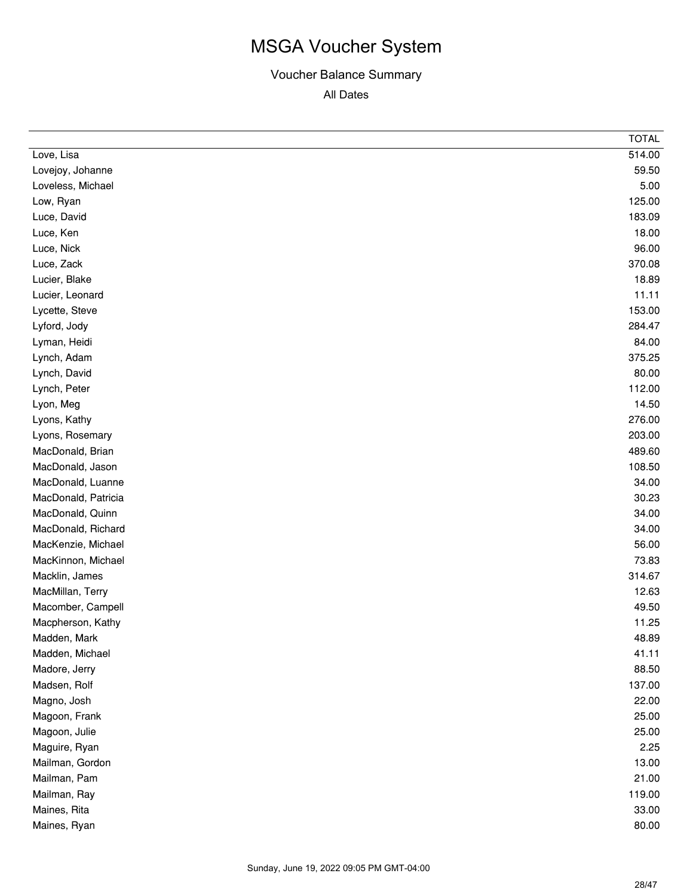|                     | <b>TOTAL</b> |
|---------------------|--------------|
| Love, Lisa          | 514.00       |
| Lovejoy, Johanne    | 59.50        |
| Loveless, Michael   | 5.00         |
| Low, Ryan           | 125.00       |
| Luce, David         | 183.09       |
| Luce, Ken           | 18.00        |
| Luce, Nick          | 96.00        |
| Luce, Zack          | 370.08       |
| Lucier, Blake       | 18.89        |
| Lucier, Leonard     | 11.11        |
| Lycette, Steve      | 153.00       |
| Lyford, Jody        | 284.47       |
| Lyman, Heidi        | 84.00        |
| Lynch, Adam         | 375.25       |
| Lynch, David        | 80.00        |
| Lynch, Peter        | 112.00       |
| Lyon, Meg           | 14.50        |
| Lyons, Kathy        | 276.00       |
| Lyons, Rosemary     | 203.00       |
| MacDonald, Brian    | 489.60       |
| MacDonald, Jason    | 108.50       |
| MacDonald, Luanne   | 34.00        |
| MacDonald, Patricia | 30.23        |
| MacDonald, Quinn    | 34.00        |
| MacDonald, Richard  | 34.00        |
| MacKenzie, Michael  | 56.00        |
| MacKinnon, Michael  | 73.83        |
| Macklin, James      | 314.67       |
| MacMillan, Terry    | 12.63        |
| Macomber, Campell   | 49.50        |
| Macpherson, Kathy   | 11.25        |
| Madden, Mark        | 48.89        |
| Madden, Michael     | 41.11        |
| Madore, Jerry       | 88.50        |
| Madsen, Rolf        | 137.00       |
| Magno, Josh         | 22.00        |
| Magoon, Frank       | 25.00        |
| Magoon, Julie       | 25.00        |
| Maguire, Ryan       | 2.25         |
| Mailman, Gordon     | 13.00        |
| Mailman, Pam        | 21.00        |
| Mailman, Ray        | 119.00       |
| Maines, Rita        | 33.00        |
| Maines, Ryan        | 80.00        |
|                     |              |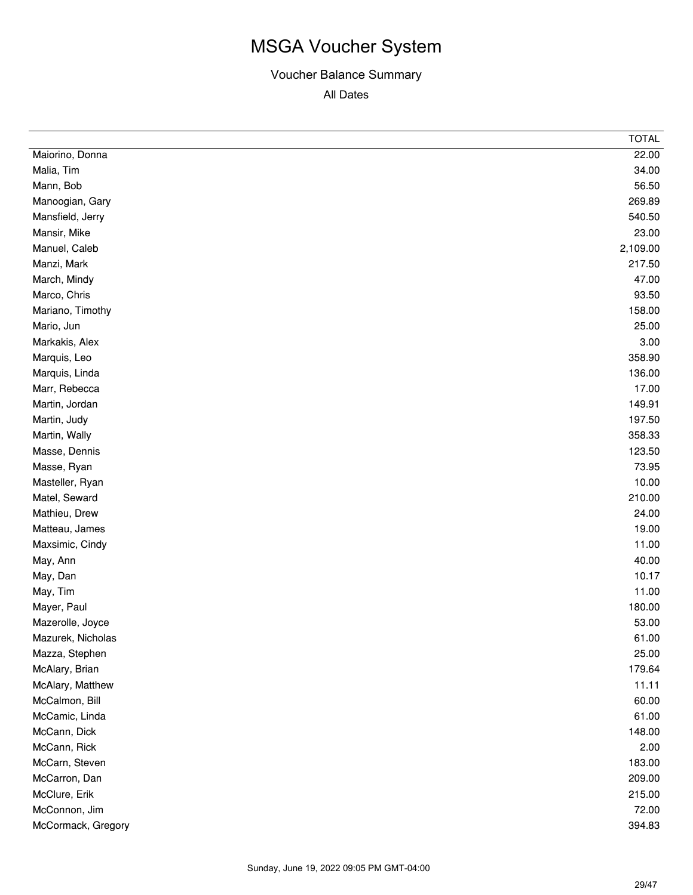|                    | <b>TOTAL</b> |
|--------------------|--------------|
| Maiorino, Donna    | 22.00        |
| Malia, Tim         | 34.00        |
| Mann, Bob          | 56.50        |
| Manoogian, Gary    | 269.89       |
| Mansfield, Jerry   | 540.50       |
| Mansir, Mike       | 23.00        |
| Manuel, Caleb      | 2,109.00     |
| Manzi, Mark        | 217.50       |
| March, Mindy       | 47.00        |
| Marco, Chris       | 93.50        |
| Mariano, Timothy   | 158.00       |
| Mario, Jun         | 25.00        |
| Markakis, Alex     | 3.00         |
| Marquis, Leo       | 358.90       |
| Marquis, Linda     | 136.00       |
| Marr, Rebecca      | 17.00        |
| Martin, Jordan     | 149.91       |
| Martin, Judy       | 197.50       |
| Martin, Wally      | 358.33       |
| Masse, Dennis      | 123.50       |
| Masse, Ryan        | 73.95        |
| Masteller, Ryan    | 10.00        |
| Matel, Seward      | 210.00       |
| Mathieu, Drew      | 24.00        |
| Matteau, James     | 19.00        |
| Maxsimic, Cindy    | 11.00        |
| May, Ann           | 40.00        |
| May, Dan           | 10.17        |
| May, Tim           | 11.00        |
| Mayer, Paul        | 180.00       |
| Mazerolle, Joyce   | 53.00        |
| Mazurek, Nicholas  | 61.00        |
| Mazza, Stephen     | 25.00        |
| McAlary, Brian     | 179.64       |
| McAlary, Matthew   | 11.11        |
| McCalmon, Bill     | 60.00        |
| McCamic, Linda     | 61.00        |
| McCann, Dick       | 148.00       |
| McCann, Rick       | 2.00         |
| McCarn, Steven     | 183.00       |
| McCarron, Dan      | 209.00       |
| McClure, Erik      | 215.00       |
| McConnon, Jim      | 72.00        |
| McCormack, Gregory | 394.83       |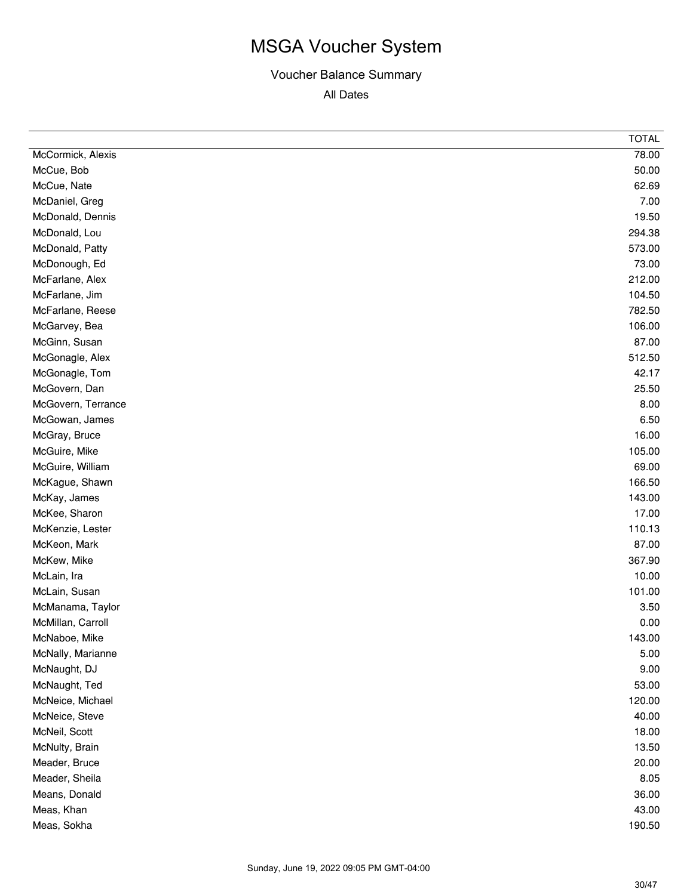|                    | <b>TOTAL</b> |
|--------------------|--------------|
| McCormick, Alexis  | 78.00        |
| McCue, Bob         | 50.00        |
| McCue, Nate        | 62.69        |
| McDaniel, Greg     | 7.00         |
| McDonald, Dennis   | 19.50        |
| McDonald, Lou      | 294.38       |
| McDonald, Patty    | 573.00       |
| McDonough, Ed      | 73.00        |
| McFarlane, Alex    | 212.00       |
| McFarlane, Jim     | 104.50       |
| McFarlane, Reese   | 782.50       |
| McGarvey, Bea      | 106.00       |
| McGinn, Susan      | 87.00        |
| McGonagle, Alex    | 512.50       |
| McGonagle, Tom     | 42.17        |
| McGovern, Dan      | 25.50        |
| McGovern, Terrance | 8.00         |
| McGowan, James     | 6.50         |
| McGray, Bruce      | 16.00        |
| McGuire, Mike      | 105.00       |
| McGuire, William   | 69.00        |
| McKague, Shawn     | 166.50       |
| McKay, James       | 143.00       |
| McKee, Sharon      | 17.00        |
| McKenzie, Lester   | 110.13       |
| McKeon, Mark       | 87.00        |
| McKew, Mike        | 367.90       |
| McLain, Ira        | 10.00        |
| McLain, Susan      | 101.00       |
| McManama, Taylor   | 3.50         |
| McMillan, Carroll  | 0.00         |
| McNaboe, Mike      | 143.00       |
| McNally, Marianne  | 5.00         |
| McNaught, DJ       | 9.00         |
| McNaught, Ted      | 53.00        |
| McNeice, Michael   | 120.00       |
| McNeice, Steve     | 40.00        |
| McNeil, Scott      | 18.00        |
| McNulty, Brain     | 13.50        |
| Meader, Bruce      | 20.00        |
| Meader, Sheila     | 8.05         |
| Means, Donald      | 36.00        |
| Meas, Khan         | 43.00        |
| Meas, Sokha        | 190.50       |
|                    |              |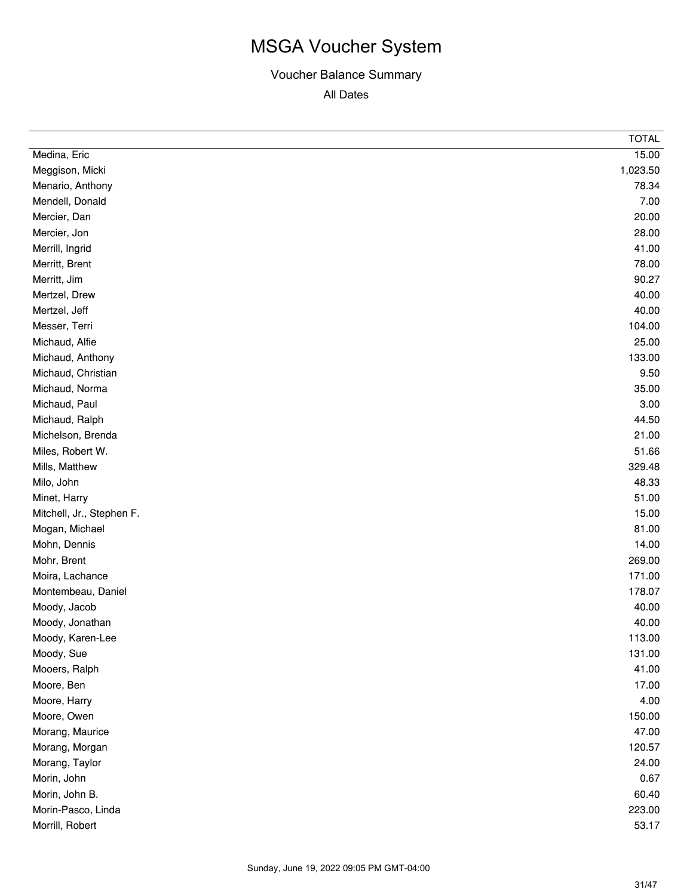|                           | <b>TOTAL</b> |
|---------------------------|--------------|
| Medina, Eric              | 15.00        |
| Meggison, Micki           | 1,023.50     |
| Menario, Anthony          | 78.34        |
| Mendell, Donald           | 7.00         |
| Mercier, Dan              | 20.00        |
| Mercier, Jon              | 28.00        |
| Merrill, Ingrid           | 41.00        |
| Merritt, Brent            | 78.00        |
| Merritt, Jim              | 90.27        |
| Mertzel, Drew             | 40.00        |
| Mertzel, Jeff             | 40.00        |
| Messer, Terri             | 104.00       |
| Michaud, Alfie            | 25.00        |
| Michaud, Anthony          | 133.00       |
| Michaud, Christian        | 9.50         |
| Michaud, Norma            | 35.00        |
| Michaud, Paul             | 3.00         |
| Michaud, Ralph            | 44.50        |
| Michelson, Brenda         | 21.00        |
| Miles, Robert W.          | 51.66        |
| Mills, Matthew            | 329.48       |
| Milo, John                | 48.33        |
| Minet, Harry              | 51.00        |
| Mitchell, Jr., Stephen F. | 15.00        |
| Mogan, Michael            | 81.00        |
| Mohn, Dennis              | 14.00        |
| Mohr, Brent               | 269.00       |
| Moira, Lachance           | 171.00       |
| Montembeau, Daniel        | 178.07       |
| Moody, Jacob              | 40.00        |
| Moody, Jonathan           | 40.00        |
| Moody, Karen-Lee          | 113.00       |
| Moody, Sue                | 131.00       |
| Mooers, Ralph             | 41.00        |
| Moore, Ben                | 17.00        |
| Moore, Harry              | 4.00         |
| Moore, Owen               | 150.00       |
| Morang, Maurice           | 47.00        |
| Morang, Morgan            | 120.57       |
| Morang, Taylor            | 24.00        |
| Morin, John               | 0.67         |
| Morin, John B.            | 60.40        |
| Morin-Pasco, Linda        | 223.00       |
| Morrill, Robert           | 53.17        |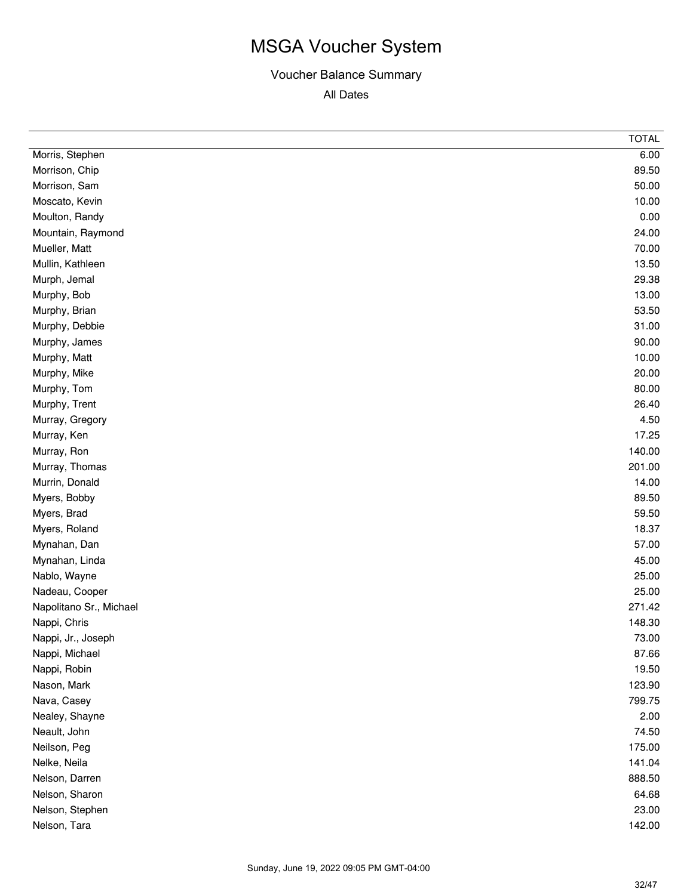|                         | <b>TOTAL</b> |
|-------------------------|--------------|
| Morris, Stephen         | 6.00         |
| Morrison, Chip          | 89.50        |
| Morrison, Sam           | 50.00        |
| Moscato, Kevin          | 10.00        |
| Moulton, Randy          | 0.00         |
| Mountain, Raymond       | 24.00        |
| Mueller, Matt           | 70.00        |
| Mullin, Kathleen        | 13.50        |
| Murph, Jemal            | 29.38        |
| Murphy, Bob             | 13.00        |
| Murphy, Brian           | 53.50        |
| Murphy, Debbie          | 31.00        |
| Murphy, James           | 90.00        |
| Murphy, Matt            | 10.00        |
| Murphy, Mike            | 20.00        |
| Murphy, Tom             | 80.00        |
| Murphy, Trent           | 26.40        |
| Murray, Gregory         | 4.50         |
| Murray, Ken             | 17.25        |
| Murray, Ron             | 140.00       |
| Murray, Thomas          | 201.00       |
| Murrin, Donald          | 14.00        |
| Myers, Bobby            | 89.50        |
| Myers, Brad             | 59.50        |
| Myers, Roland           | 18.37        |
| Mynahan, Dan            | 57.00        |
| Mynahan, Linda          | 45.00        |
| Nablo, Wayne            | 25.00        |
| Nadeau, Cooper          | 25.00        |
| Napolitano Sr., Michael | 271.42       |
| Nappi, Chris            | 148.30       |
| Nappi, Jr., Joseph      | 73.00        |
| Nappi, Michael          | 87.66        |
| Nappi, Robin            | 19.50        |
| Nason, Mark             | 123.90       |
| Nava, Casey             | 799.75       |
| Nealey, Shayne          | 2.00         |
| Neault, John            | 74.50        |
| Neilson, Peg            | 175.00       |
| Nelke, Neila            | 141.04       |
| Nelson, Darren          | 888.50       |
| Nelson, Sharon          | 64.68        |
| Nelson, Stephen         | 23.00        |
| Nelson, Tara            | 142.00       |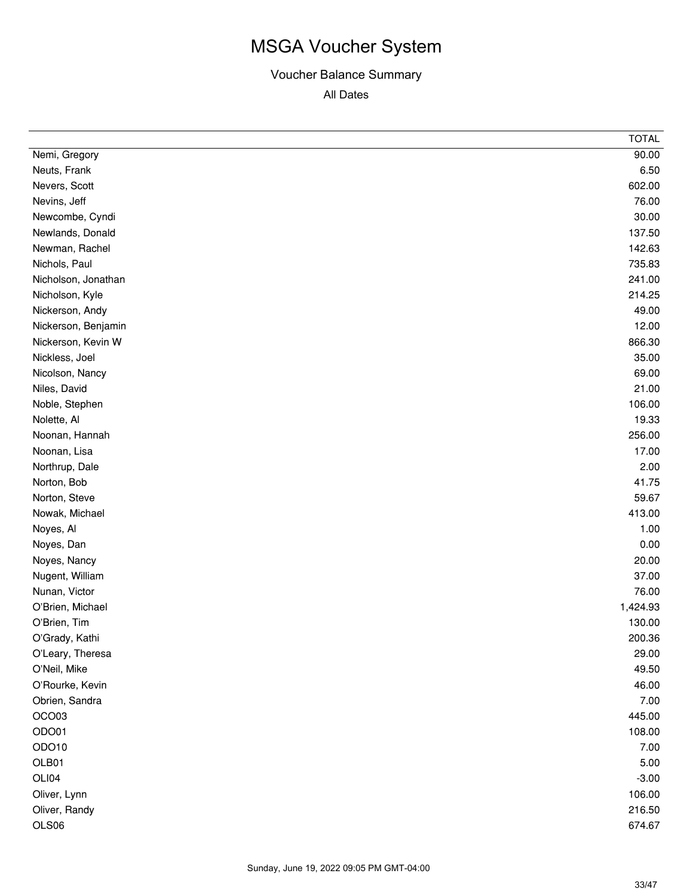|                     | <b>TOTAL</b> |
|---------------------|--------------|
| Nemi, Gregory       | 90.00        |
| Neuts, Frank        | 6.50         |
| Nevers, Scott       | 602.00       |
| Nevins, Jeff        | 76.00        |
| Newcombe, Cyndi     | 30.00        |
| Newlands, Donald    | 137.50       |
| Newman, Rachel      | 142.63       |
| Nichols, Paul       | 735.83       |
| Nicholson, Jonathan | 241.00       |
| Nicholson, Kyle     | 214.25       |
| Nickerson, Andy     | 49.00        |
| Nickerson, Benjamin | 12.00        |
| Nickerson, Kevin W  | 866.30       |
| Nickless, Joel      | 35.00        |
| Nicolson, Nancy     | 69.00        |
| Niles, David        | 21.00        |
| Noble, Stephen      | 106.00       |
| Nolette, Al         | 19.33        |
| Noonan, Hannah      | 256.00       |
| Noonan, Lisa        | 17.00        |
| Northrup, Dale      | 2.00         |
| Norton, Bob         | 41.75        |
| Norton, Steve       | 59.67        |
| Nowak, Michael      | 413.00       |
| Noyes, Al           | 1.00         |
| Noyes, Dan          | 0.00         |
| Noyes, Nancy        | 20.00        |
| Nugent, William     | 37.00        |
| Nunan, Victor       | 76.00        |
| O'Brien, Michael    | 1,424.93     |
| O'Brien, Tim        | 130.00       |
| O'Grady, Kathi      | 200.36       |
| O'Leary, Theresa    | 29.00        |
| O'Neil, Mike        | 49.50        |
| O'Rourke, Kevin     | 46.00        |
| Obrien, Sandra      | 7.00         |
| OCO03               | 445.00       |
| ODO01               | 108.00       |
| ODO10               | 7.00         |
| OLB01               | 5.00         |
| OLI04               | $-3.00$      |
| Oliver, Lynn        | 106.00       |
| Oliver, Randy       | 216.50       |
| OLS06               | 674.67       |
|                     |              |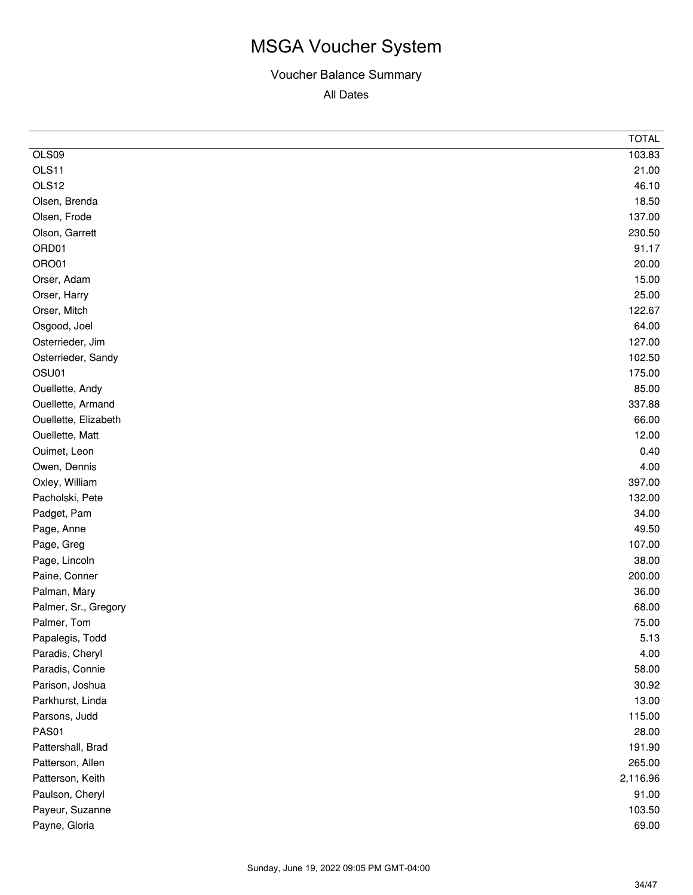|                      | <b>TOTAL</b> |
|----------------------|--------------|
| OLS09                | 103.83       |
| OLS11                | 21.00        |
| OLS12                | 46.10        |
| Olsen, Brenda        | 18.50        |
| Olsen, Frode         | 137.00       |
| Olson, Garrett       | 230.50       |
| ORD01                | 91.17        |
| ORO01                | 20.00        |
| Orser, Adam          | 15.00        |
| Orser, Harry         | 25.00        |
| Orser, Mitch         | 122.67       |
| Osgood, Joel         | 64.00        |
| Osterrieder, Jim     | 127.00       |
| Osterrieder, Sandy   | 102.50       |
| OSU01                | 175.00       |
| Ouellette, Andy      | 85.00        |
| Ouellette, Armand    | 337.88       |
| Ouellette, Elizabeth | 66.00        |
| Ouellette, Matt      | 12.00        |
| Ouimet, Leon         | 0.40         |
| Owen, Dennis         | 4.00         |
| Oxley, William       | 397.00       |
| Pacholski, Pete      | 132.00       |
| Padget, Pam          | 34.00        |
| Page, Anne           | 49.50        |
| Page, Greg           | 107.00       |
| Page, Lincoln        | 38.00        |
| Paine, Conner        | 200.00       |
| Palman, Mary         | 36.00        |
| Palmer, Sr., Gregory | 68.00        |
| Palmer, Tom          | 75.00        |
| Papalegis, Todd      | 5.13         |
| Paradis, Cheryl      | 4.00         |
| Paradis, Connie      | 58.00        |
| Parison, Joshua      | 30.92        |
| Parkhurst, Linda     | 13.00        |
| Parsons, Judd        | 115.00       |
| PAS01                | 28.00        |
| Pattershall, Brad    | 191.90       |
| Patterson, Allen     | 265.00       |
| Patterson, Keith     | 2,116.96     |
| Paulson, Cheryl      | 91.00        |
| Payeur, Suzanne      | 103.50       |
| Payne, Gloria        | 69.00        |
|                      |              |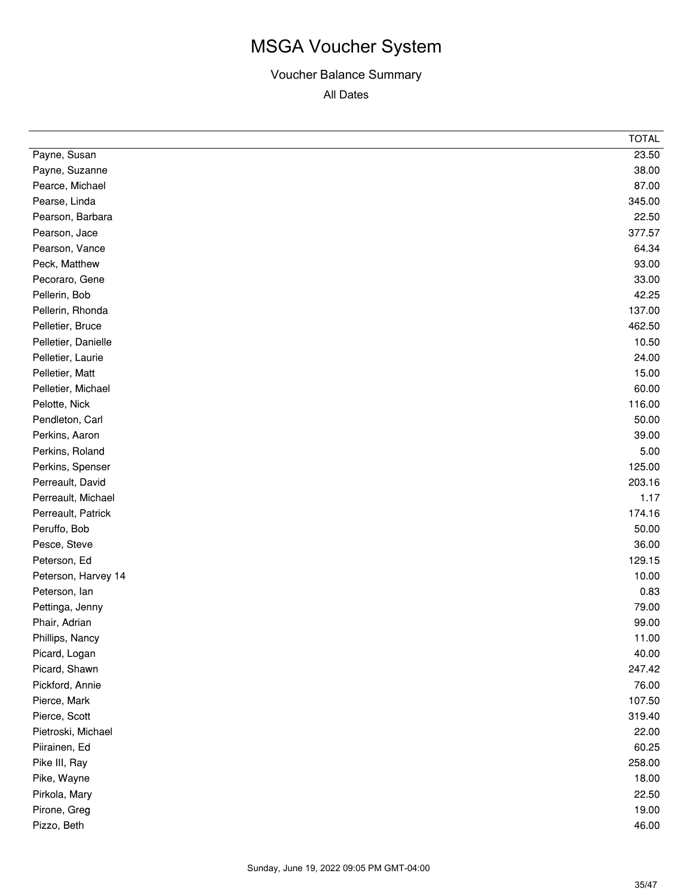|                     | <b>TOTAL</b> |
|---------------------|--------------|
| Payne, Susan        | 23.50        |
| Payne, Suzanne      | 38.00        |
| Pearce, Michael     | 87.00        |
| Pearse, Linda       | 345.00       |
| Pearson, Barbara    | 22.50        |
| Pearson, Jace       | 377.57       |
| Pearson, Vance      | 64.34        |
| Peck, Matthew       | 93.00        |
| Pecoraro, Gene      | 33.00        |
| Pellerin, Bob       | 42.25        |
| Pellerin, Rhonda    | 137.00       |
| Pelletier, Bruce    | 462.50       |
| Pelletier, Danielle | 10.50        |
| Pelletier, Laurie   | 24.00        |
| Pelletier, Matt     | 15.00        |
| Pelletier, Michael  | 60.00        |
| Pelotte, Nick       | 116.00       |
| Pendleton, Carl     | 50.00        |
| Perkins, Aaron      | 39.00        |
| Perkins, Roland     | 5.00         |
| Perkins, Spenser    | 125.00       |
| Perreault, David    | 203.16       |
| Perreault, Michael  | 1.17         |
| Perreault, Patrick  | 174.16       |
| Peruffo, Bob        | 50.00        |
| Pesce, Steve        | 36.00        |
| Peterson, Ed        | 129.15       |
| Peterson, Harvey 14 | 10.00        |
| Peterson, lan       | 0.83         |
| Pettinga, Jenny     | 79.00        |
| Phair, Adrian       | 99.00        |
| Phillips, Nancy     | 11.00        |
| Picard, Logan       | 40.00        |
| Picard, Shawn       | 247.42       |
| Pickford, Annie     | 76.00        |
| Pierce, Mark        | 107.50       |
| Pierce, Scott       | 319.40       |
| Pietroski, Michael  | 22.00        |
| Piirainen, Ed       | 60.25        |
| Pike III, Ray       | 258.00       |
| Pike, Wayne         | 18.00        |
| Pirkola, Mary       | 22.50        |
| Pirone, Greg        | 19.00        |
| Pizzo, Beth         | 46.00        |
|                     |              |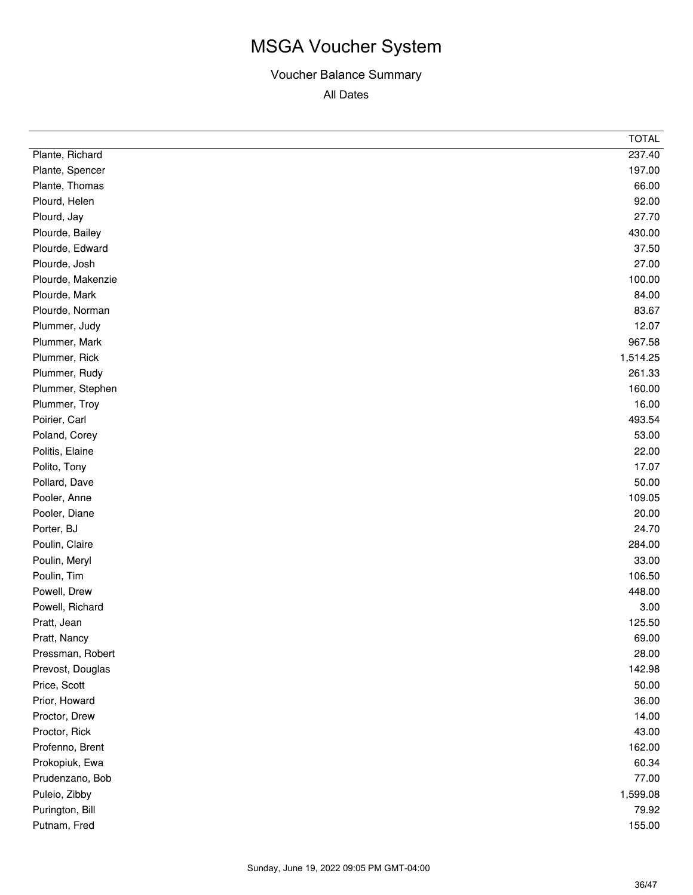|                   | <b>TOTAL</b> |
|-------------------|--------------|
| Plante, Richard   | 237.40       |
| Plante, Spencer   | 197.00       |
| Plante, Thomas    | 66.00        |
| Plourd, Helen     | 92.00        |
| Plourd, Jay       | 27.70        |
| Plourde, Bailey   | 430.00       |
| Plourde, Edward   | 37.50        |
| Plourde, Josh     | 27.00        |
| Plourde, Makenzie | 100.00       |
| Plourde, Mark     | 84.00        |
| Plourde, Norman   | 83.67        |
| Plummer, Judy     | 12.07        |
| Plummer, Mark     | 967.58       |
| Plummer, Rick     | 1,514.25     |
| Plummer, Rudy     | 261.33       |
| Plummer, Stephen  | 160.00       |
| Plummer, Troy     | 16.00        |
| Poirier, Carl     | 493.54       |
| Poland, Corey     | 53.00        |
| Politis, Elaine   | 22.00        |
| Polito, Tony      | 17.07        |
| Pollard, Dave     | 50.00        |
| Pooler, Anne      | 109.05       |
| Pooler, Diane     | 20.00        |
| Porter, BJ        | 24.70        |
| Poulin, Claire    | 284.00       |
| Poulin, Meryl     | 33.00        |
| Poulin, Tim       | 106.50       |
| Powell, Drew      | 448.00       |
| Powell, Richard   | 3.00         |
| Pratt, Jean       | 125.50       |
| Pratt, Nancy      | 69.00        |
| Pressman, Robert  | 28.00        |
| Prevost, Douglas  | 142.98       |
| Price, Scott      | 50.00        |
| Prior, Howard     | 36.00        |
| Proctor, Drew     | 14.00        |
| Proctor, Rick     | 43.00        |
| Profenno, Brent   | 162.00       |
| Prokopiuk, Ewa    | 60.34        |
| Prudenzano, Bob   | 77.00        |
| Puleio, Zibby     | 1,599.08     |
| Purington, Bill   | 79.92        |
| Putnam, Fred      | 155.00       |
|                   |              |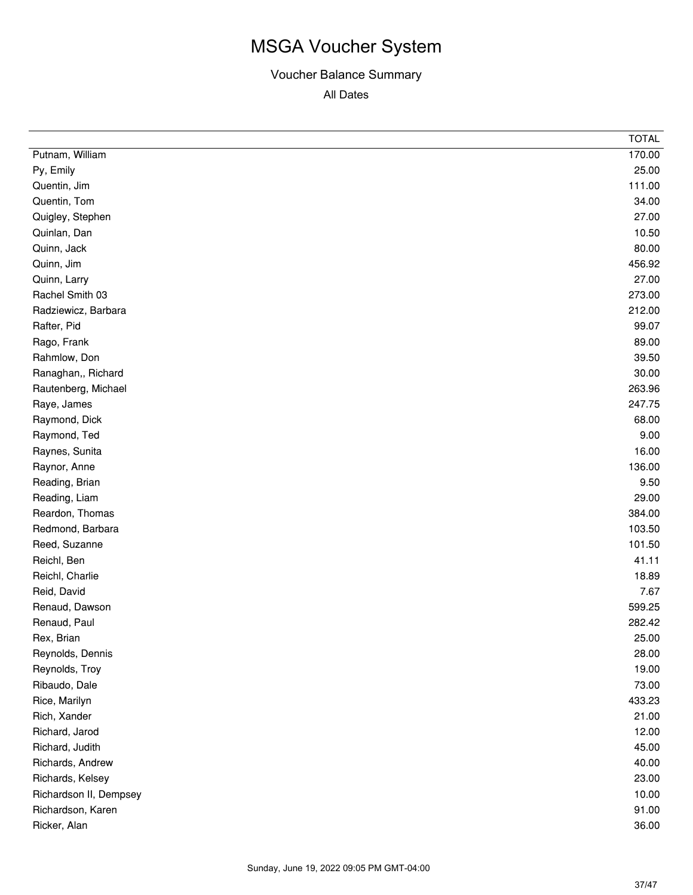| Putnam, William<br>170.00<br>25.00<br>Py, Emily<br>111.00<br>Quentin, Jim<br>34.00<br>Quentin, Tom<br>27.00<br>Quigley, Stephen<br>10.50<br>Quinlan, Dan<br>Quinn, Jack<br>80.00<br>456.92<br>Quinn, Jim<br>27.00<br>Quinn, Larry<br>Rachel Smith 03<br>273.00<br>212.00<br>Radziewicz, Barbara<br>99.07<br>Rafter, Pid<br>89.00<br>Rago, Frank<br>Rahmlow, Don<br>39.50<br>30.00<br>Ranaghan,, Richard<br>263.96<br>Rautenberg, Michael<br>247.75<br>Raye, James<br>Raymond, Dick<br>68.00<br>9.00<br>Raymond, Ted<br>16.00<br>Raynes, Sunita<br>136.00<br>Raynor, Anne<br>9.50<br>Reading, Brian<br>29.00<br>Reading, Liam<br>384.00<br>Reardon, Thomas<br>103.50<br>Redmond, Barbara<br>101.50<br>Reed, Suzanne<br>41.11<br>Reichl, Ben<br>18.89<br>Reichl, Charlie<br>7.67<br>Reid, David<br>Renaud, Dawson<br>599.25<br>Renaud, Paul<br>282.42<br>Rex, Brian<br>25.00<br>Reynolds, Dennis<br>28.00<br>Reynolds, Troy<br>19.00<br>73.00<br>Ribaudo, Dale<br>433.23<br>Rice, Marilyn<br>Rich, Xander<br>21.00<br>12.00<br>Richard, Jarod<br>45.00<br>Richard, Judith<br>Richards, Andrew<br>40.00<br>Richards, Kelsey<br>23.00<br>Richardson II, Dempsey<br>10.00<br>91.00<br>Richardson, Karen<br>36.00<br>Ricker, Alan | <b>TOTAL</b> |
|-----------------------------------------------------------------------------------------------------------------------------------------------------------------------------------------------------------------------------------------------------------------------------------------------------------------------------------------------------------------------------------------------------------------------------------------------------------------------------------------------------------------------------------------------------------------------------------------------------------------------------------------------------------------------------------------------------------------------------------------------------------------------------------------------------------------------------------------------------------------------------------------------------------------------------------------------------------------------------------------------------------------------------------------------------------------------------------------------------------------------------------------------------------------------------------------------------------------------------|--------------|
|                                                                                                                                                                                                                                                                                                                                                                                                                                                                                                                                                                                                                                                                                                                                                                                                                                                                                                                                                                                                                                                                                                                                                                                                                             |              |
|                                                                                                                                                                                                                                                                                                                                                                                                                                                                                                                                                                                                                                                                                                                                                                                                                                                                                                                                                                                                                                                                                                                                                                                                                             |              |
|                                                                                                                                                                                                                                                                                                                                                                                                                                                                                                                                                                                                                                                                                                                                                                                                                                                                                                                                                                                                                                                                                                                                                                                                                             |              |
|                                                                                                                                                                                                                                                                                                                                                                                                                                                                                                                                                                                                                                                                                                                                                                                                                                                                                                                                                                                                                                                                                                                                                                                                                             |              |
|                                                                                                                                                                                                                                                                                                                                                                                                                                                                                                                                                                                                                                                                                                                                                                                                                                                                                                                                                                                                                                                                                                                                                                                                                             |              |
|                                                                                                                                                                                                                                                                                                                                                                                                                                                                                                                                                                                                                                                                                                                                                                                                                                                                                                                                                                                                                                                                                                                                                                                                                             |              |
|                                                                                                                                                                                                                                                                                                                                                                                                                                                                                                                                                                                                                                                                                                                                                                                                                                                                                                                                                                                                                                                                                                                                                                                                                             |              |
|                                                                                                                                                                                                                                                                                                                                                                                                                                                                                                                                                                                                                                                                                                                                                                                                                                                                                                                                                                                                                                                                                                                                                                                                                             |              |
|                                                                                                                                                                                                                                                                                                                                                                                                                                                                                                                                                                                                                                                                                                                                                                                                                                                                                                                                                                                                                                                                                                                                                                                                                             |              |
|                                                                                                                                                                                                                                                                                                                                                                                                                                                                                                                                                                                                                                                                                                                                                                                                                                                                                                                                                                                                                                                                                                                                                                                                                             |              |
|                                                                                                                                                                                                                                                                                                                                                                                                                                                                                                                                                                                                                                                                                                                                                                                                                                                                                                                                                                                                                                                                                                                                                                                                                             |              |
|                                                                                                                                                                                                                                                                                                                                                                                                                                                                                                                                                                                                                                                                                                                                                                                                                                                                                                                                                                                                                                                                                                                                                                                                                             |              |
|                                                                                                                                                                                                                                                                                                                                                                                                                                                                                                                                                                                                                                                                                                                                                                                                                                                                                                                                                                                                                                                                                                                                                                                                                             |              |
|                                                                                                                                                                                                                                                                                                                                                                                                                                                                                                                                                                                                                                                                                                                                                                                                                                                                                                                                                                                                                                                                                                                                                                                                                             |              |
|                                                                                                                                                                                                                                                                                                                                                                                                                                                                                                                                                                                                                                                                                                                                                                                                                                                                                                                                                                                                                                                                                                                                                                                                                             |              |
|                                                                                                                                                                                                                                                                                                                                                                                                                                                                                                                                                                                                                                                                                                                                                                                                                                                                                                                                                                                                                                                                                                                                                                                                                             |              |
|                                                                                                                                                                                                                                                                                                                                                                                                                                                                                                                                                                                                                                                                                                                                                                                                                                                                                                                                                                                                                                                                                                                                                                                                                             |              |
|                                                                                                                                                                                                                                                                                                                                                                                                                                                                                                                                                                                                                                                                                                                                                                                                                                                                                                                                                                                                                                                                                                                                                                                                                             |              |
|                                                                                                                                                                                                                                                                                                                                                                                                                                                                                                                                                                                                                                                                                                                                                                                                                                                                                                                                                                                                                                                                                                                                                                                                                             |              |
|                                                                                                                                                                                                                                                                                                                                                                                                                                                                                                                                                                                                                                                                                                                                                                                                                                                                                                                                                                                                                                                                                                                                                                                                                             |              |
|                                                                                                                                                                                                                                                                                                                                                                                                                                                                                                                                                                                                                                                                                                                                                                                                                                                                                                                                                                                                                                                                                                                                                                                                                             |              |
|                                                                                                                                                                                                                                                                                                                                                                                                                                                                                                                                                                                                                                                                                                                                                                                                                                                                                                                                                                                                                                                                                                                                                                                                                             |              |
|                                                                                                                                                                                                                                                                                                                                                                                                                                                                                                                                                                                                                                                                                                                                                                                                                                                                                                                                                                                                                                                                                                                                                                                                                             |              |
|                                                                                                                                                                                                                                                                                                                                                                                                                                                                                                                                                                                                                                                                                                                                                                                                                                                                                                                                                                                                                                                                                                                                                                                                                             |              |
|                                                                                                                                                                                                                                                                                                                                                                                                                                                                                                                                                                                                                                                                                                                                                                                                                                                                                                                                                                                                                                                                                                                                                                                                                             |              |
|                                                                                                                                                                                                                                                                                                                                                                                                                                                                                                                                                                                                                                                                                                                                                                                                                                                                                                                                                                                                                                                                                                                                                                                                                             |              |
|                                                                                                                                                                                                                                                                                                                                                                                                                                                                                                                                                                                                                                                                                                                                                                                                                                                                                                                                                                                                                                                                                                                                                                                                                             |              |
|                                                                                                                                                                                                                                                                                                                                                                                                                                                                                                                                                                                                                                                                                                                                                                                                                                                                                                                                                                                                                                                                                                                                                                                                                             |              |
|                                                                                                                                                                                                                                                                                                                                                                                                                                                                                                                                                                                                                                                                                                                                                                                                                                                                                                                                                                                                                                                                                                                                                                                                                             |              |
|                                                                                                                                                                                                                                                                                                                                                                                                                                                                                                                                                                                                                                                                                                                                                                                                                                                                                                                                                                                                                                                                                                                                                                                                                             |              |
|                                                                                                                                                                                                                                                                                                                                                                                                                                                                                                                                                                                                                                                                                                                                                                                                                                                                                                                                                                                                                                                                                                                                                                                                                             |              |
|                                                                                                                                                                                                                                                                                                                                                                                                                                                                                                                                                                                                                                                                                                                                                                                                                                                                                                                                                                                                                                                                                                                                                                                                                             |              |
|                                                                                                                                                                                                                                                                                                                                                                                                                                                                                                                                                                                                                                                                                                                                                                                                                                                                                                                                                                                                                                                                                                                                                                                                                             |              |
|                                                                                                                                                                                                                                                                                                                                                                                                                                                                                                                                                                                                                                                                                                                                                                                                                                                                                                                                                                                                                                                                                                                                                                                                                             |              |
|                                                                                                                                                                                                                                                                                                                                                                                                                                                                                                                                                                                                                                                                                                                                                                                                                                                                                                                                                                                                                                                                                                                                                                                                                             |              |
|                                                                                                                                                                                                                                                                                                                                                                                                                                                                                                                                                                                                                                                                                                                                                                                                                                                                                                                                                                                                                                                                                                                                                                                                                             |              |
|                                                                                                                                                                                                                                                                                                                                                                                                                                                                                                                                                                                                                                                                                                                                                                                                                                                                                                                                                                                                                                                                                                                                                                                                                             |              |
|                                                                                                                                                                                                                                                                                                                                                                                                                                                                                                                                                                                                                                                                                                                                                                                                                                                                                                                                                                                                                                                                                                                                                                                                                             |              |
|                                                                                                                                                                                                                                                                                                                                                                                                                                                                                                                                                                                                                                                                                                                                                                                                                                                                                                                                                                                                                                                                                                                                                                                                                             |              |
|                                                                                                                                                                                                                                                                                                                                                                                                                                                                                                                                                                                                                                                                                                                                                                                                                                                                                                                                                                                                                                                                                                                                                                                                                             |              |
|                                                                                                                                                                                                                                                                                                                                                                                                                                                                                                                                                                                                                                                                                                                                                                                                                                                                                                                                                                                                                                                                                                                                                                                                                             |              |
|                                                                                                                                                                                                                                                                                                                                                                                                                                                                                                                                                                                                                                                                                                                                                                                                                                                                                                                                                                                                                                                                                                                                                                                                                             |              |
|                                                                                                                                                                                                                                                                                                                                                                                                                                                                                                                                                                                                                                                                                                                                                                                                                                                                                                                                                                                                                                                                                                                                                                                                                             |              |
|                                                                                                                                                                                                                                                                                                                                                                                                                                                                                                                                                                                                                                                                                                                                                                                                                                                                                                                                                                                                                                                                                                                                                                                                                             |              |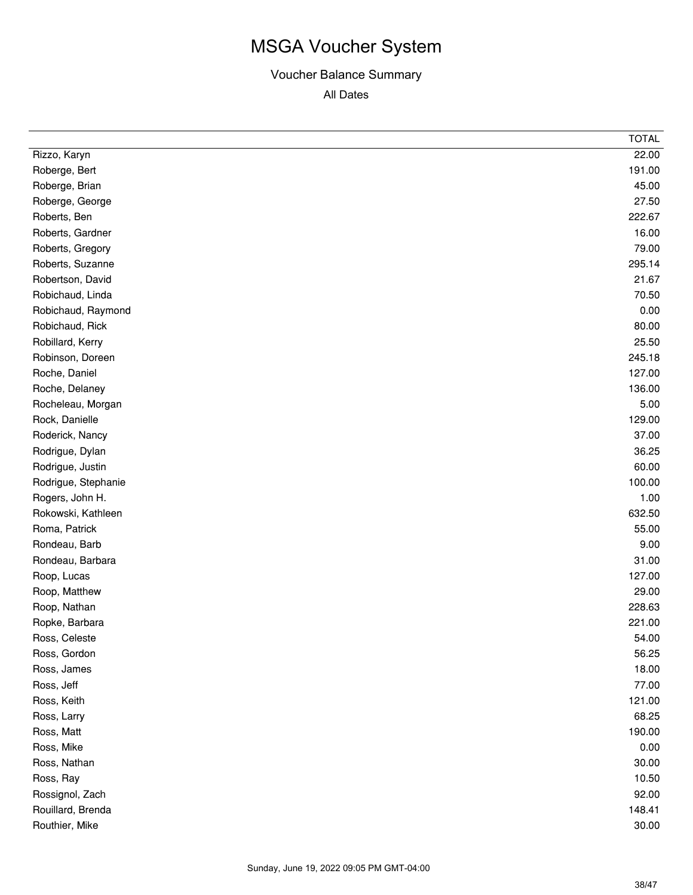|                     | <b>TOTAL</b> |
|---------------------|--------------|
| Rizzo, Karyn        | 22.00        |
| Roberge, Bert       | 191.00       |
| Roberge, Brian      | 45.00        |
| Roberge, George     | 27.50        |
| Roberts, Ben        | 222.67       |
| Roberts, Gardner    | 16.00        |
| Roberts, Gregory    | 79.00        |
| Roberts, Suzanne    | 295.14       |
| Robertson, David    | 21.67        |
| Robichaud, Linda    | 70.50        |
| Robichaud, Raymond  | 0.00         |
| Robichaud, Rick     | 80.00        |
| Robillard, Kerry    | 25.50        |
| Robinson, Doreen    | 245.18       |
| Roche, Daniel       | 127.00       |
| Roche, Delaney      | 136.00       |
| Rocheleau, Morgan   | 5.00         |
| Rock, Danielle      | 129.00       |
| Roderick, Nancy     | 37.00        |
| Rodrigue, Dylan     | 36.25        |
| Rodrigue, Justin    | 60.00        |
| Rodrigue, Stephanie | 100.00       |
| Rogers, John H.     | 1.00         |
| Rokowski, Kathleen  | 632.50       |
| Roma, Patrick       | 55.00        |
| Rondeau, Barb       | 9.00         |
| Rondeau, Barbara    | 31.00        |
| Roop, Lucas         | 127.00       |
| Roop, Matthew       | 29.00        |
| Roop, Nathan        | 228.63       |
| Ropke, Barbara      | 221.00       |
| Ross, Celeste       | 54.00        |
| Ross, Gordon        | 56.25        |
| Ross, James         | 18.00        |
| Ross, Jeff          | 77.00        |
| Ross, Keith         | 121.00       |
| Ross, Larry         | 68.25        |
| Ross, Matt          | 190.00       |
| Ross, Mike          | 0.00         |
| Ross, Nathan        | 30.00        |
| Ross, Ray           | 10.50        |
| Rossignol, Zach     | 92.00        |
| Rouillard, Brenda   | 148.41       |
| Routhier, Mike      | 30.00        |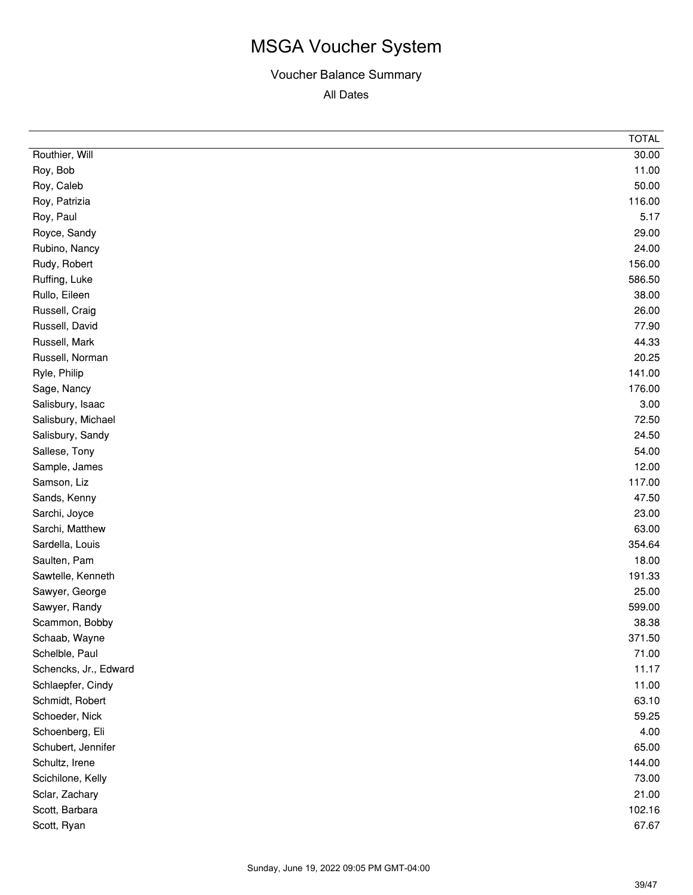|                       | <b>TOTAL</b> |
|-----------------------|--------------|
| Routhier, Will        | 30.00        |
| Roy, Bob              | 11.00        |
| Roy, Caleb            | 50.00        |
| Roy, Patrizia         | 116.00       |
| Roy, Paul             | 5.17         |
| Royce, Sandy          | 29.00        |
| Rubino, Nancy         | 24.00        |
| Rudy, Robert          | 156.00       |
| Ruffing, Luke         | 586.50       |
| Rullo, Eileen         | 38.00        |
| Russell, Craig        | 26.00        |
| Russell, David        | 77.90        |
| Russell, Mark         | 44.33        |
| Russell, Norman       | 20.25        |
| Ryle, Philip          | 141.00       |
| Sage, Nancy           | 176.00       |
| Salisbury, Isaac      | 3.00         |
| Salisbury, Michael    | 72.50        |
| Salisbury, Sandy      | 24.50        |
| Sallese, Tony         | 54.00        |
| Sample, James         | 12.00        |
| Samson, Liz           | 117.00       |
| Sands, Kenny          | 47.50        |
| Sarchi, Joyce         | 23.00        |
| Sarchi, Matthew       | 63.00        |
| Sardella, Louis       | 354.64       |
| Saulten, Pam          | 18.00        |
| Sawtelle, Kenneth     | 191.33       |
| Sawyer, George        | 25.00        |
| Sawyer, Randy         | 599.00       |
| Scammon, Bobby        | 38.38        |
| Schaab, Wayne         | 371.50       |
| Schelble, Paul        | 71.00        |
| Schencks, Jr., Edward | 11.17        |
| Schlaepfer, Cindy     | 11.00        |
| Schmidt, Robert       | 63.10        |
| Schoeder, Nick        | 59.25        |
| Schoenberg, Eli       | 4.00         |
| Schubert, Jennifer    | 65.00        |
| Schultz, Irene        | 144.00       |
| Scichilone, Kelly     | 73.00        |
| Sclar, Zachary        | 21.00        |
| Scott, Barbara        | 102.16       |
| Scott, Ryan           | 67.67        |
|                       |              |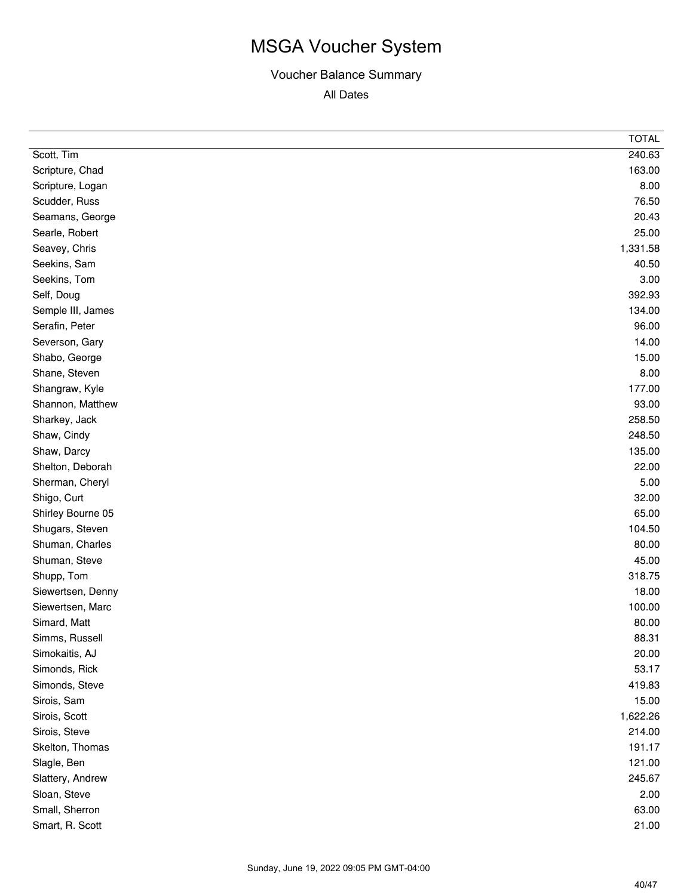|                   | <b>TOTAL</b> |
|-------------------|--------------|
| Scott, Tim        | 240.63       |
| Scripture, Chad   | 163.00       |
| Scripture, Logan  | 8.00         |
| Scudder, Russ     | 76.50        |
| Seamans, George   | 20.43        |
| Searle, Robert    | 25.00        |
| Seavey, Chris     | 1,331.58     |
| Seekins, Sam      | 40.50        |
| Seekins, Tom      | 3.00         |
| Self, Doug        | 392.93       |
| Semple III, James | 134.00       |
| Serafin, Peter    | 96.00        |
| Severson, Gary    | 14.00        |
| Shabo, George     | 15.00        |
| Shane, Steven     | 8.00         |
| Shangraw, Kyle    | 177.00       |
| Shannon, Matthew  | 93.00        |
| Sharkey, Jack     | 258.50       |
| Shaw, Cindy       | 248.50       |
| Shaw, Darcy       | 135.00       |
| Shelton, Deborah  | 22.00        |
| Sherman, Cheryl   | 5.00         |
| Shigo, Curt       | 32.00        |
| Shirley Bourne 05 | 65.00        |
| Shugars, Steven   | 104.50       |
| Shuman, Charles   | 80.00        |
| Shuman, Steve     | 45.00        |
| Shupp, Tom        | 318.75       |
| Siewertsen, Denny | 18.00        |
| Siewertsen, Marc  | 100.00       |
| Simard, Matt      | 80.00        |
| Simms, Russell    | 88.31        |
| Simokaitis, AJ    | 20.00        |
| Simonds, Rick     | 53.17        |
| Simonds, Steve    | 419.83       |
| Sirois, Sam       | 15.00        |
| Sirois, Scott     | 1,622.26     |
| Sirois, Steve     | 214.00       |
| Skelton, Thomas   | 191.17       |
| Slagle, Ben       | 121.00       |
| Slattery, Andrew  | 245.67       |
| Sloan, Steve      | 2.00         |
| Small, Sherron    | 63.00        |
| Smart, R. Scott   | 21.00        |
|                   |              |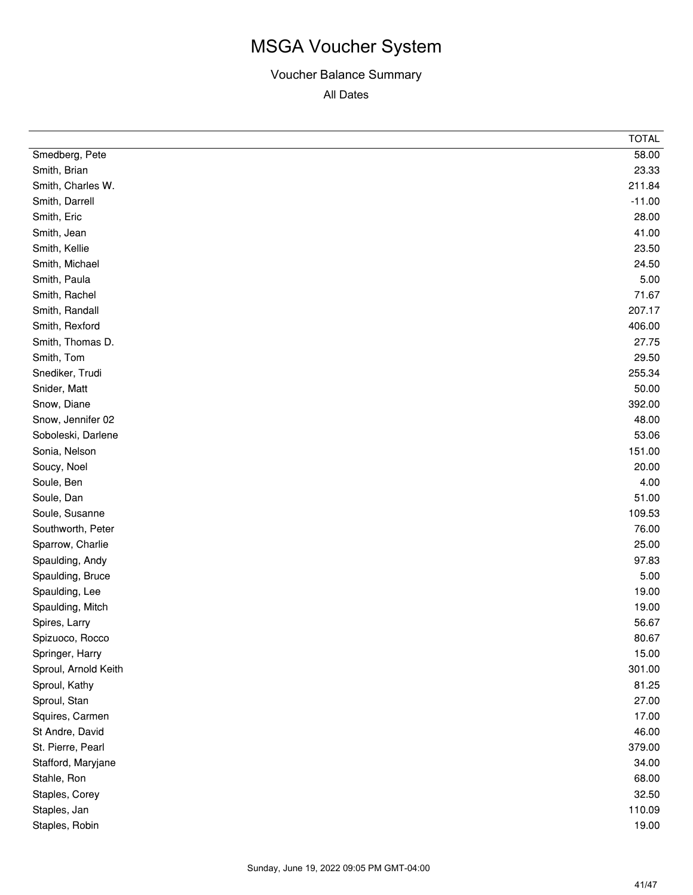|                      | <b>TOTAL</b> |
|----------------------|--------------|
| Smedberg, Pete       | 58.00        |
| Smith, Brian         | 23.33        |
| Smith, Charles W.    | 211.84       |
| Smith, Darrell       | $-11.00$     |
| Smith, Eric          | 28.00        |
| Smith, Jean          | 41.00        |
| Smith, Kellie        | 23.50        |
| Smith, Michael       | 24.50        |
| Smith, Paula         | 5.00         |
| Smith, Rachel        | 71.67        |
| Smith, Randall       | 207.17       |
| Smith, Rexford       | 406.00       |
| Smith, Thomas D.     | 27.75        |
| Smith, Tom           | 29.50        |
| Snediker, Trudi      | 255.34       |
| Snider, Matt         | 50.00        |
| Snow, Diane          | 392.00       |
| Snow, Jennifer 02    | 48.00        |
| Soboleski, Darlene   | 53.06        |
| Sonia, Nelson        | 151.00       |
| Soucy, Noel          | 20.00        |
| Soule, Ben           | 4.00         |
| Soule, Dan           | 51.00        |
| Soule, Susanne       | 109.53       |
| Southworth, Peter    | 76.00        |
| Sparrow, Charlie     | 25.00        |
| Spaulding, Andy      | 97.83        |
| Spaulding, Bruce     | 5.00         |
| Spaulding, Lee       | 19.00        |
| Spaulding, Mitch     | 19.00        |
| Spires, Larry        | 56.67        |
| Spizuoco, Rocco      | 80.67        |
| Springer, Harry      | 15.00        |
| Sproul, Arnold Keith | 301.00       |
| Sproul, Kathy        | 81.25        |
| Sproul, Stan         | 27.00        |
| Squires, Carmen      | 17.00        |
| St Andre, David      | 46.00        |
| St. Pierre, Pearl    | 379.00       |
| Stafford, Maryjane   | 34.00        |
| Stahle, Ron          | 68.00        |
| Staples, Corey       | 32.50        |
| Staples, Jan         | 110.09       |
| Staples, Robin       | 19.00        |
|                      |              |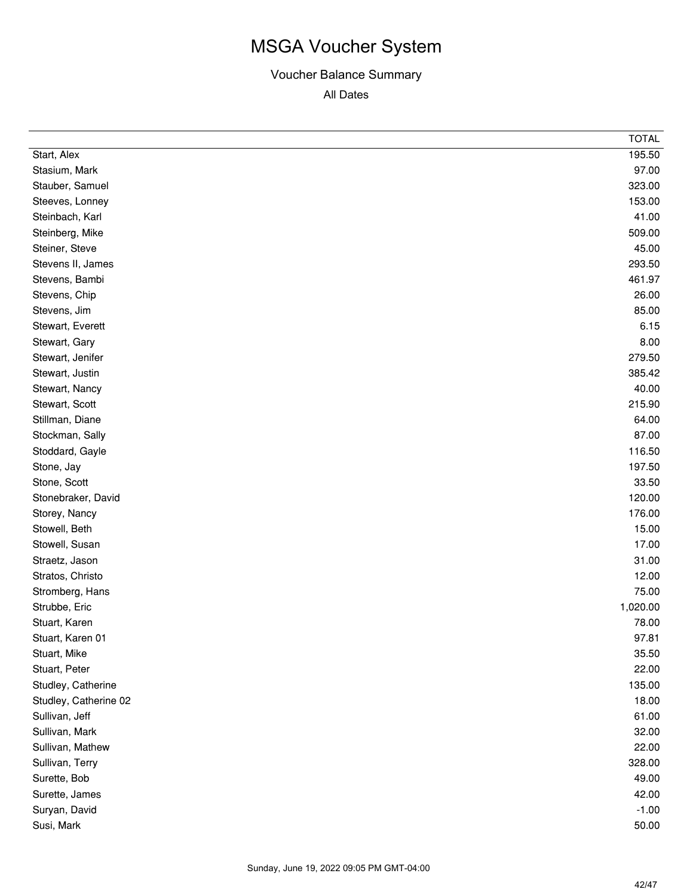|                       | <b>TOTAL</b> |
|-----------------------|--------------|
| Start, Alex           | 195.50       |
| Stasium, Mark         | 97.00        |
| Stauber, Samuel       | 323.00       |
| Steeves, Lonney       | 153.00       |
| Steinbach, Karl       | 41.00        |
| Steinberg, Mike       | 509.00       |
| Steiner, Steve        | 45.00        |
| Stevens II, James     | 293.50       |
| Stevens, Bambi        | 461.97       |
| Stevens, Chip         | 26.00        |
| Stevens, Jim          | 85.00        |
| Stewart, Everett      | 6.15         |
| Stewart, Gary         | 8.00         |
| Stewart, Jenifer      | 279.50       |
| Stewart, Justin       | 385.42       |
| Stewart, Nancy        | 40.00        |
| Stewart, Scott        | 215.90       |
| Stillman, Diane       | 64.00        |
| Stockman, Sally       | 87.00        |
| Stoddard, Gayle       | 116.50       |
| Stone, Jay            | 197.50       |
| Stone, Scott          | 33.50        |
| Stonebraker, David    | 120.00       |
| Storey, Nancy         | 176.00       |
| Stowell, Beth         | 15.00        |
| Stowell, Susan        | 17.00        |
| Straetz, Jason        | 31.00        |
| Stratos, Christo      | 12.00        |
| Stromberg, Hans       | 75.00        |
| Strubbe, Eric         | 1,020.00     |
| Stuart, Karen         | 78.00        |
| Stuart, Karen 01      | 97.81        |
| Stuart, Mike          | 35.50        |
| Stuart, Peter         | 22.00        |
| Studley, Catherine    | 135.00       |
| Studley, Catherine 02 | 18.00        |
| Sullivan, Jeff        | 61.00        |
| Sullivan, Mark        | 32.00        |
| Sullivan, Mathew      | 22.00        |
| Sullivan, Terry       | 328.00       |
| Surette, Bob          | 49.00        |
| Surette, James        | 42.00        |
| Suryan, David         | $-1.00$      |
| Susi, Mark            | 50.00        |
|                       |              |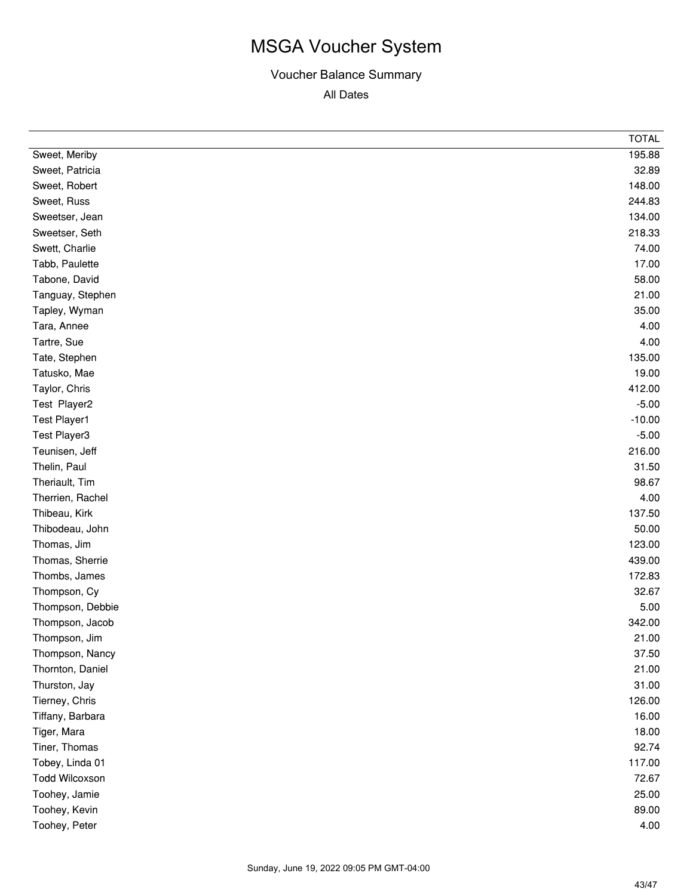|                       | <b>TOTAL</b> |
|-----------------------|--------------|
| Sweet, Meriby         | 195.88       |
| Sweet, Patricia       | 32.89        |
| Sweet, Robert         | 148.00       |
| Sweet, Russ           | 244.83       |
| Sweetser, Jean        | 134.00       |
| Sweetser, Seth        | 218.33       |
| Swett, Charlie        | 74.00        |
| Tabb, Paulette        | 17.00        |
| Tabone, David         | 58.00        |
| Tanguay, Stephen      | 21.00        |
| Tapley, Wyman         | 35.00        |
| Tara, Annee           | 4.00         |
| Tartre, Sue           | 4.00         |
| Tate, Stephen         | 135.00       |
| Tatusko, Mae          | 19.00        |
| Taylor, Chris         | 412.00       |
| Test Player2          | $-5.00$      |
| <b>Test Player1</b>   | $-10.00$     |
| Test Player3          | $-5.00$      |
| Teunisen, Jeff        | 216.00       |
| Thelin, Paul          | 31.50        |
| Theriault, Tim        | 98.67        |
| Therrien, Rachel      | 4.00         |
| Thibeau, Kirk         | 137.50       |
| Thibodeau, John       | 50.00        |
| Thomas, Jim           | 123.00       |
| Thomas, Sherrie       | 439.00       |
| Thombs, James         | 172.83       |
| Thompson, Cy          | 32.67        |
| Thompson, Debbie      | 5.00         |
| Thompson, Jacob       | 342.00       |
| Thompson, Jim         | 21.00        |
| Thompson, Nancy       | 37.50        |
| Thornton, Daniel      | 21.00        |
| Thurston, Jay         | 31.00        |
| Tierney, Chris        | 126.00       |
| Tiffany, Barbara      | 16.00        |
| Tiger, Mara           | 18.00        |
| Tiner, Thomas         | 92.74        |
| Tobey, Linda 01       | 117.00       |
| <b>Todd Wilcoxson</b> | 72.67        |
| Toohey, Jamie         | 25.00        |
| Toohey, Kevin         | 89.00        |
| Toohey, Peter         | 4.00         |
|                       |              |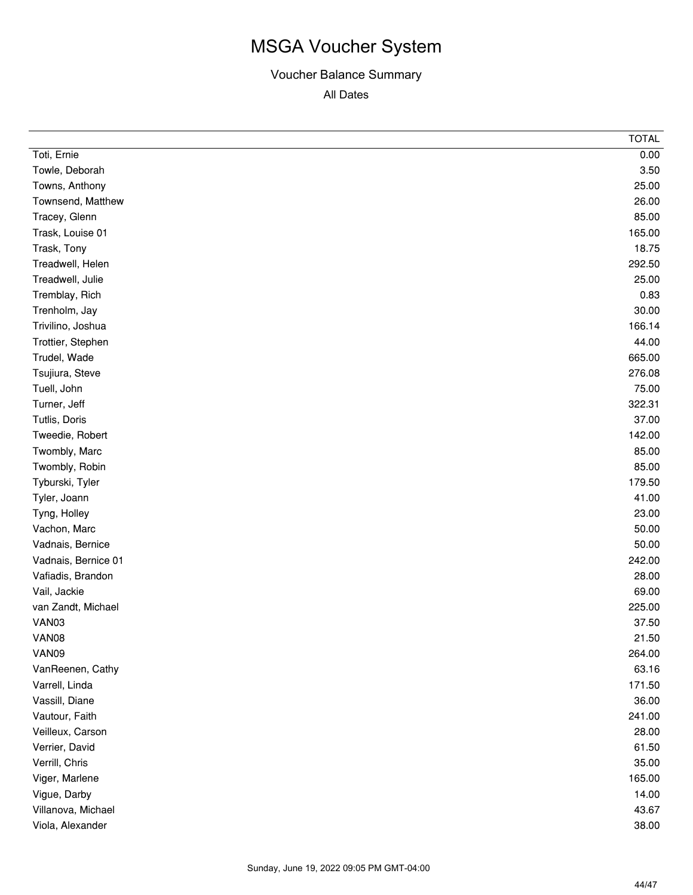|                     | <b>TOTAL</b> |
|---------------------|--------------|
| Toti, Ernie         | 0.00         |
| Towle, Deborah      | 3.50         |
| Towns, Anthony      | 25.00        |
| Townsend, Matthew   | 26.00        |
| Tracey, Glenn       | 85.00        |
| Trask, Louise 01    | 165.00       |
| Trask, Tony         | 18.75        |
| Treadwell, Helen    | 292.50       |
| Treadwell, Julie    | 25.00        |
| Tremblay, Rich      | 0.83         |
| Trenholm, Jay       | 30.00        |
| Trivilino, Joshua   | 166.14       |
| Trottier, Stephen   | 44.00        |
| Trudel, Wade        | 665.00       |
| Tsujiura, Steve     | 276.08       |
| Tuell, John         | 75.00        |
| Turner, Jeff        | 322.31       |
| Tutlis, Doris       | 37.00        |
| Tweedie, Robert     | 142.00       |
| Twombly, Marc       | 85.00        |
| Twombly, Robin      | 85.00        |
| Tyburski, Tyler     | 179.50       |
| Tyler, Joann        | 41.00        |
| Tyng, Holley        | 23.00        |
| Vachon, Marc        | 50.00        |
| Vadnais, Bernice    | 50.00        |
| Vadnais, Bernice 01 | 242.00       |
| Vafiadis, Brandon   | 28.00        |
| Vail, Jackie        | 69.00        |
| van Zandt, Michael  | 225.00       |
| VAN03               | 37.50        |
| VAN08               | 21.50        |
| VAN09               | 264.00       |
| VanReenen, Cathy    | 63.16        |
| Varrell, Linda      | 171.50       |
| Vassill, Diane      | 36.00        |
| Vautour, Faith      | 241.00       |
| Veilleux, Carson    | 28.00        |
| Verrier, David      | 61.50        |
| Verrill, Chris      | 35.00        |
| Viger, Marlene      | 165.00       |
| Vigue, Darby        | 14.00        |
| Villanova, Michael  | 43.67        |
| Viola, Alexander    | 38.00        |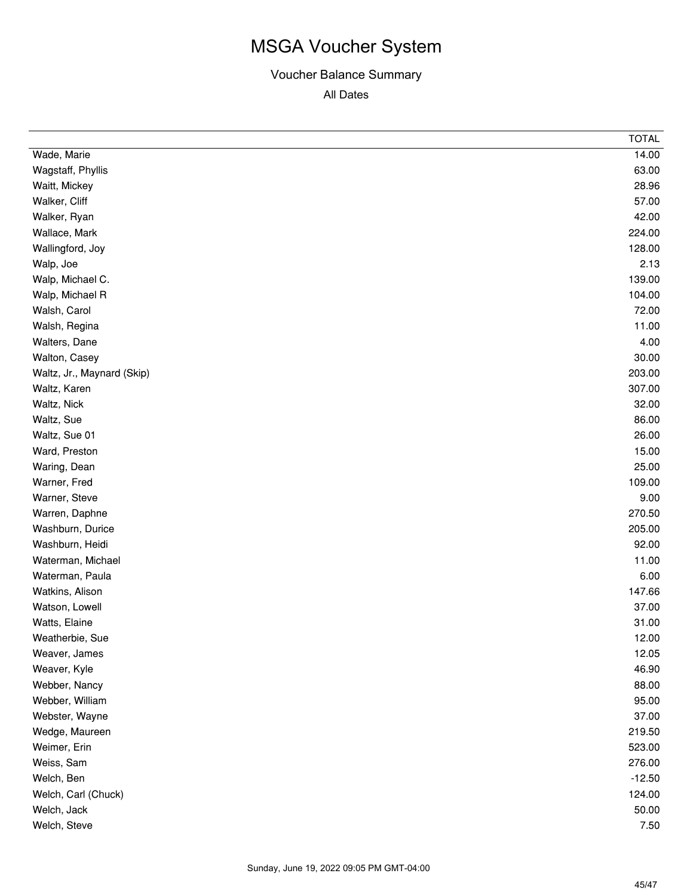|                            | <b>TOTAL</b> |
|----------------------------|--------------|
| Wade, Marie                | 14.00        |
| Wagstaff, Phyllis          | 63.00        |
| Waitt, Mickey              | 28.96        |
| Walker, Cliff              | 57.00        |
| Walker, Ryan               | 42.00        |
| Wallace, Mark              | 224.00       |
| Wallingford, Joy           | 128.00       |
| Walp, Joe                  | 2.13         |
| Walp, Michael C.           | 139.00       |
| Walp, Michael R            | 104.00       |
| Walsh, Carol               | 72.00        |
| Walsh, Regina              | 11.00        |
| Walters, Dane              | 4.00         |
| Walton, Casey              | 30.00        |
| Waltz, Jr., Maynard (Skip) | 203.00       |
| Waltz, Karen               | 307.00       |
| Waltz, Nick                | 32.00        |
| Waltz, Sue                 | 86.00        |
| Waltz, Sue 01              | 26.00        |
| Ward, Preston              | 15.00        |
| Waring, Dean               | 25.00        |
| Warner, Fred               | 109.00       |
| Warner, Steve              | 9.00         |
| Warren, Daphne             | 270.50       |
| Washburn, Durice           | 205.00       |
| Washburn, Heidi            | 92.00        |
| Waterman, Michael          | 11.00        |
| Waterman, Paula            | 6.00         |
| Watkins, Alison            | 147.66       |
| Watson, Lowell             | 37.00        |
| Watts, Elaine              | 31.00        |
| Weatherbie, Sue            | 12.00        |
| Weaver, James              | 12.05        |
| Weaver, Kyle               | 46.90        |
| Webber, Nancy              | 88.00        |
| Webber, William            | 95.00        |
| Webster, Wayne             | 37.00        |
| Wedge, Maureen             | 219.50       |
| Weimer, Erin               | 523.00       |
| Weiss, Sam                 | 276.00       |
| Welch, Ben                 | $-12.50$     |
| Welch, Carl (Chuck)        | 124.00       |
| Welch, Jack                | 50.00        |
| Welch, Steve               | 7.50         |
|                            |              |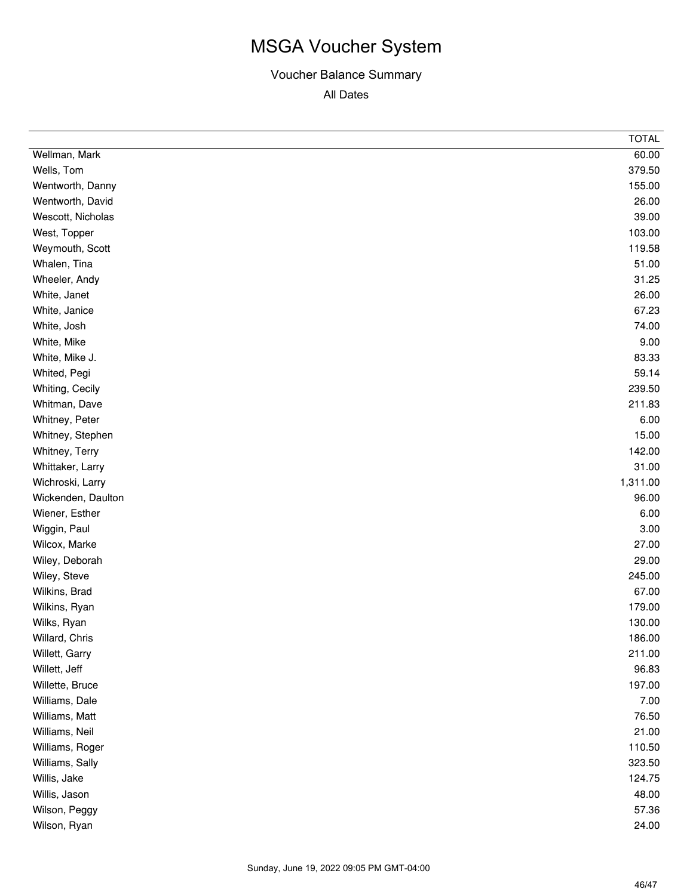|                    | <b>TOTAL</b> |
|--------------------|--------------|
| Wellman, Mark      | 60.00        |
| Wells, Tom         | 379.50       |
| Wentworth, Danny   | 155.00       |
| Wentworth, David   | 26.00        |
| Wescott, Nicholas  | 39.00        |
| West, Topper       | 103.00       |
| Weymouth, Scott    | 119.58       |
| Whalen, Tina       | 51.00        |
| Wheeler, Andy      | 31.25        |
| White, Janet       | 26.00        |
| White, Janice      | 67.23        |
| White, Josh        | 74.00        |
| White, Mike        | 9.00         |
| White, Mike J.     | 83.33        |
| Whited, Pegi       | 59.14        |
| Whiting, Cecily    | 239.50       |
| Whitman, Dave      | 211.83       |
| Whitney, Peter     | 6.00         |
| Whitney, Stephen   | 15.00        |
| Whitney, Terry     | 142.00       |
| Whittaker, Larry   | 31.00        |
| Wichroski, Larry   | 1,311.00     |
| Wickenden, Daulton | 96.00        |
| Wiener, Esther     | 6.00         |
| Wiggin, Paul       | 3.00         |
| Wilcox, Marke      | 27.00        |
| Wiley, Deborah     | 29.00        |
| Wiley, Steve       | 245.00       |
| Wilkins, Brad      | 67.00        |
| Wilkins, Ryan      | 179.00       |
| Wilks, Ryan        | 130.00       |
| Willard, Chris     | 186.00       |
| Willett, Garry     | 211.00       |
| Willett, Jeff      | 96.83        |
| Willette, Bruce    | 197.00       |
| Williams, Dale     | 7.00         |
| Williams, Matt     | 76.50        |
| Williams, Neil     | 21.00        |
| Williams, Roger    | 110.50       |
| Williams, Sally    | 323.50       |
| Willis, Jake       | 124.75       |
| Willis, Jason      | 48.00        |
| Wilson, Peggy      | 57.36        |
| Wilson, Ryan       | 24.00        |
|                    |              |